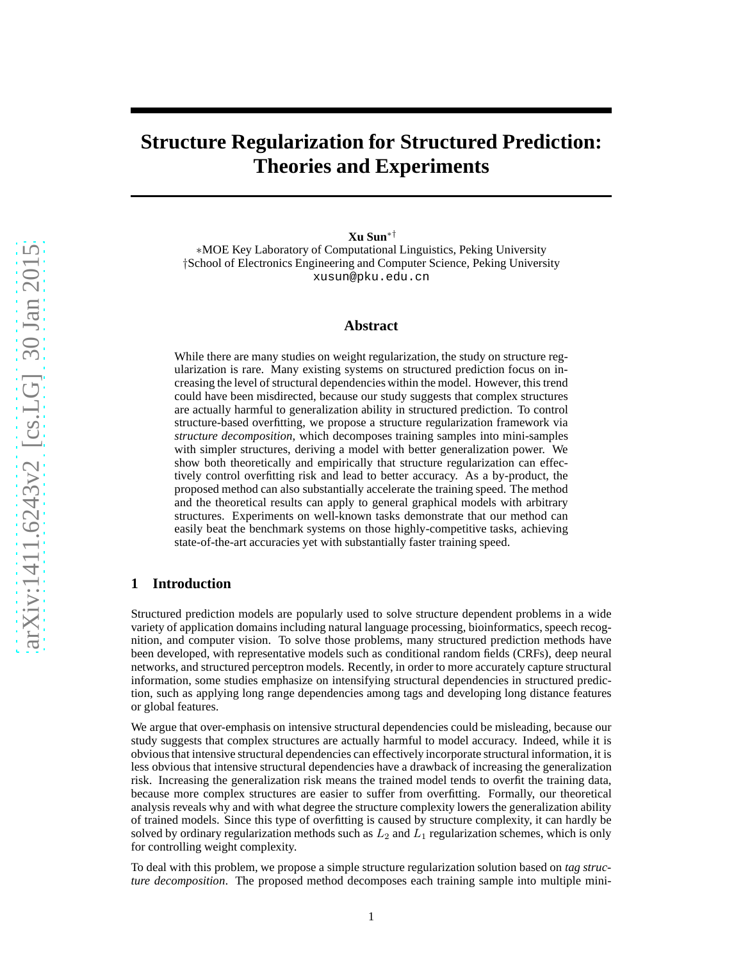# **Structure Regularization for Structured Prediction: Theories and Experiments**

**Xu Sun**∗†

∗MOE Key Laboratory of Computational Linguistics, Peking University †School of Electronics Engineering and Computer Science, Peking University xusun@pku.edu.cn

## **Abstract**

While there are many studies on weight regularization, the study on structure regularization is rare. Many existing systems on structured prediction focus on increasing the level of structural dependencies within the model. However, this trend could have been misdirected, because our study suggests that complex structures are actually harmful to generalization ability in structured prediction. To control structure-based overfitting, we propose a structure regularization framework via *structure decomposition*, which decomposes training samples into mini-samples with simpler structures, deriving a model with better generalization power. We show both theoretically and empirically that structure regularization can effectively control overfitting risk and lead to better accuracy. As a by-product, the proposed method can also substantially accelerate the training speed. The method and the theoretical results can apply to general graphical models with arbitrary structures. Experiments on well-known tasks demonstrate that our method can easily beat the benchmark systems on those highly-competitive tasks, achieving state-of-the-art accuracies yet with substantially faster training speed.

# **1 Introduction**

Structured prediction models are popularly used to solve structure dependent problems in a wide variety of application domains including natural language processing, bioinformatics, speech recognition, and computer vision. To solve those problems, many structured prediction methods have been developed, with representative models such as conditional random fields (CRFs), deep neural networks, and structured perceptron models. Recently, in order to more accurately capture structural information, some studies emphasize on intensifying structural dependencies in structured prediction, such as applying long range dependencies among tags and developing long distance features or global features.

We argue that over-emphasis on intensive structural dependencies could be misleading, because our study suggests that complex structures are actually harmful to model accuracy. Indeed, while it is obvious that intensive structural dependencies can effectively incorporate structural information, it is less obvious that intensive structural dependencies have a drawback of increasing the generalization risk. Increasing the generalization risk means the trained model tends to overfit the training data, because more complex structures are easier to suffer from overfitting. Formally, our theoretical analysis reveals why and with what degree the structure complexity lowers the generalization ability of trained models. Since this type of overfitting is caused by structure complexity, it can hardly be solved by ordinary regularization methods such as  $L_2$  and  $L_1$  regularization schemes, which is only for controlling weight complexity.

To deal with this problem, we propose a simple structure regularization solution based on *tag structure decomposition*. The proposed method decomposes each training sample into multiple mini-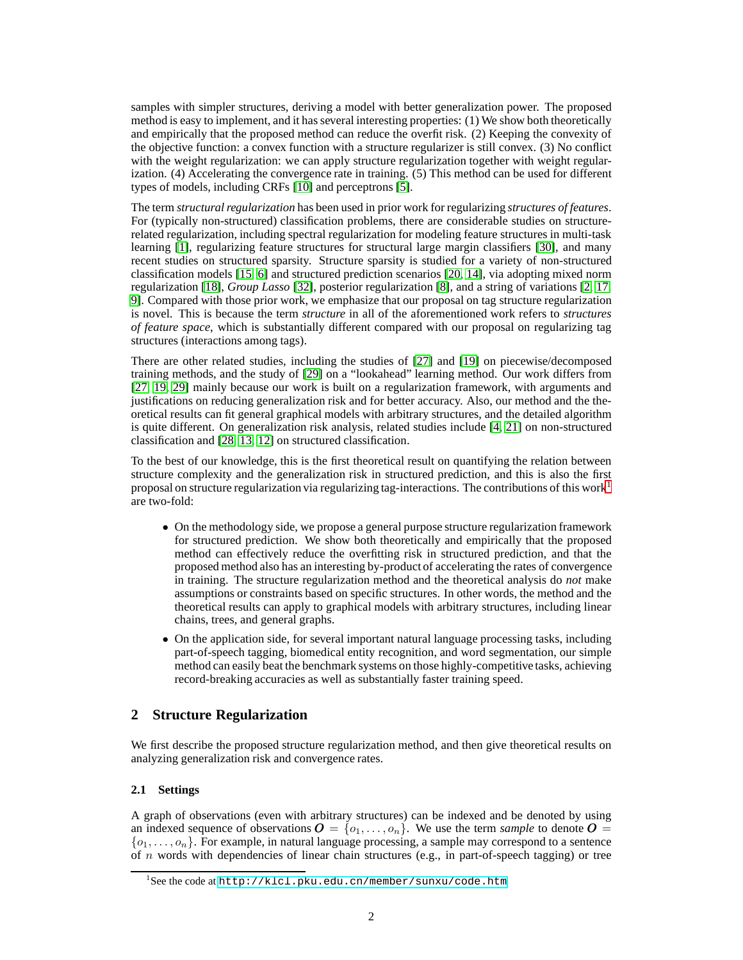samples with simpler structures, deriving a model with better generalization power. The proposed method is easy to implement, and it has several interesting properties: (1) We show both theoretically and empirically that the proposed method can reduce the overfit risk. (2) Keeping the convexity of the objective function: a convex function with a structure regularizer is still convex. (3) No conflict with the weight regularization: we can apply structure regularization together with weight regularization. (4) Accelerating the convergence rate in training. (5) This method can be used for different types of models, including CRFs [\[10\]](#page-19-0) and perceptrons [\[5\]](#page-19-1).

The term *structural regularization* has been used in prior work for regularizing *structures of features*. For (typically non-structured) classification problems, there are considerable studies on structurerelated regularization, including spectral regularization for modeling feature structures in multi-task learning [\[1\]](#page-19-2), regularizing feature structures for structural large margin classifiers [\[30\]](#page-20-0), and many recent studies on structured sparsity. Structure sparsity is studied for a variety of non-structured classification models [\[15,](#page-20-1) [6\]](#page-19-3) and structured prediction scenarios [\[20,](#page-20-2) [14\]](#page-20-3), via adopting mixed norm regularization [\[18\]](#page-20-4), *Group Lasso* [\[32\]](#page-20-5), posterior regularization [\[8\]](#page-19-4), and a string of variations [\[2,](#page-19-5) [17,](#page-20-6) [9\]](#page-19-6). Compared with those prior work, we emphasize that our proposal on tag structure regularization is novel. This is because the term *structure* in all of the aforementioned work refers to *structures of feature space*, which is substantially different compared with our proposal on regularizing tag structures (interactions among tags).

There are other related studies, including the studies of [\[27\]](#page-20-7) and [\[19\]](#page-20-8) on piecewise/decomposed training methods, and the study of [\[29\]](#page-20-9) on a "lookahead" learning method. Our work differs from [\[27,](#page-20-7) [19,](#page-20-8) [29\]](#page-20-9) mainly because our work is built on a regularization framework, with arguments and justifications on reducing generalization risk and for better accuracy. Also, our method and the theoretical results can fit general graphical models with arbitrary structures, and the detailed algorithm is quite different. On generalization risk analysis, related studies include [\[4,](#page-19-7) [21\]](#page-20-10) on non-structured classification and [\[28,](#page-20-11) [13,](#page-19-8) [12\]](#page-19-9) on structured classification.

To the best of our knowledge, this is the first theoretical result on quantifying the relation between structure complexity and the generalization risk in structured prediction, and this is also the first proposal on structure regularization via regularizing tag-interactions. The contributions of this work<sup>[1](#page-1-0)</sup> are two-fold:

- On the methodology side, we propose a general purpose structure regularization framework for structured prediction. We show both theoretically and empirically that the proposed method can effectively reduce the overfitting risk in structured prediction, and that the proposed method also has an interesting by-product of accelerating the rates of convergence in training. The structure regularization method and the theoretical analysis do *not* make assumptions or constraints based on specific structures. In other words, the method and the theoretical results can apply to graphical models with arbitrary structures, including linear chains, trees, and general graphs.
- On the application side, for several important natural language processing tasks, including part-of-speech tagging, biomedical entity recognition, and word segmentation, our simple method can easily beat the benchmark systems on those highly-competitive tasks, achieving record-breaking accuracies as well as substantially faster training speed.

# **2 Structure Regularization**

We first describe the proposed structure regularization method, and then give theoretical results on analyzing generalization risk and convergence rates.

# <span id="page-1-1"></span>**2.1 Settings**

A graph of observations (even with arbitrary structures) can be indexed and be denoted by using an indexed sequence of observations  $\mathbf{O} = \{o_1, \ldots, o_n\}$ . We use the term *sample* to denote  $\mathbf{O} =$  $\{o_1, \ldots, o_n\}$ . For example, in natural language processing, a sample may correspond to a sentence of n words with dependencies of linear chain structures (e.g., in part-of-speech tagging) or tree

<span id="page-1-0"></span><sup>&</sup>lt;sup>1</sup>See the code at <http://klcl.pku.edu.cn/member/sunxu/code.htm>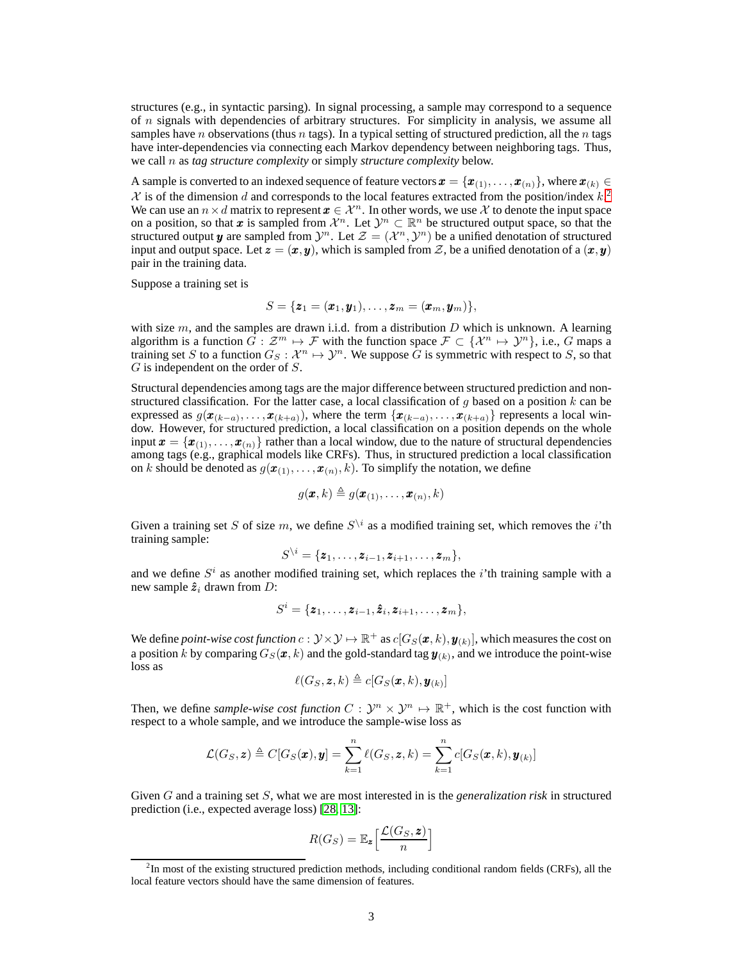structures (e.g., in syntactic parsing). In signal processing, a sample may correspond to a sequence of  $n$  signals with dependencies of arbitrary structures. For simplicity in analysis, we assume all samples have n observations (thus n tags). In a typical setting of structured prediction, all the n tags have inter-dependencies via connecting each Markov dependency between neighboring tags. Thus, we call n as *tag structure complexity* or simply *structure complexity* below.

A sample is converted to an indexed sequence of feature vectors  $\mathbf{x} = {\mathbf{x}_{(1)}, \dots, \mathbf{x}_{(n)}}$ , where  $\mathbf{x}_{(k)} \in$  $\mathcal X$  is of the dimension d and corresponds to the local features extracted from the position/index  $k$ <sup>[2](#page-2-0)</sup> We can use an  $n \times d$  matrix to represent  $x \in \mathcal{X}^n$ . In other words, we use X to denote the input space on a position, so that x is sampled from  $\mathcal{X}^n$ . Let  $\mathcal{Y}^n \subset \mathbb{R}^n$  be structured output space, so that the structured output y are sampled from  $\mathcal{Y}^n$ . Let  $\mathcal{Z} = (\mathcal{X}^n, \mathcal{Y}^n)$  be a unified denotation of structured input and output space. Let  $z = (x, y)$ , which is sampled from Z, be a unified denotation of a  $(x, y)$ pair in the training data.

Suppose a training set is

$$
S = {\boldsymbol{z}_1 = (\boldsymbol{x}_1, \boldsymbol{y}_1), \ldots, \boldsymbol{z}_m = (\boldsymbol{x}_m, \boldsymbol{y}_m)},
$$

with size  $m$ , and the samples are drawn i.i.d. from a distribution  $D$  which is unknown. A learning algorithm is a function  $\hat{G}: \mathcal{Z}^m \mapsto \mathcal{F}$  with the function space  $\mathcal{F} \subset \{X^n \mapsto Y^n\}$ , i.e., G maps a training set S to a function  $G_S: \mathcal{X}^n \mapsto \mathcal{Y}^n$ . We suppose G is symmetric with respect to S, so that  $G$  is independent on the order of  $S$ .

Structural dependencies among tags are the major difference between structured prediction and nonstructured classification. For the latter case, a local classification of  $g$  based on a position  $k$  can be expressed as  $g(\mathbf{x}_{(k-a)},..., \mathbf{x}_{(k+a)})$ , where the term  $\{\mathbf{x}_{(k-a)},..., \mathbf{x}_{(k+a)}\}$  represents a local win-<br>dow. However, for structured prediction, a local classification on a position depends on the whole input  $\mathbf{x} = {\mathbf{x}_{(1)}, \dots, \mathbf{x}_{(n)}}$  rather than a local window, due to the nature of structural dependencies among tags (e.g., graphical models like CRFs). Thus, in structured prediction a local classification on k should be denoted as  $g(\mathbf{x}_{(1)},...,\mathbf{x}_{(n)},k)$ . To simplify the notation, we define

$$
g(\pmb{x},k) \triangleq g(\pmb{x}_{(1)},\ldots,\pmb{x}_{(n)},k)
$$

Given a training set S of size m, we define  $S^{\setminus i}$  as a modified training set, which removes the *i*'th training sample:

$$
S^{\setminus i} = \{ \boldsymbol{z}_1, \ldots, \boldsymbol{z}_{i-1}, \boldsymbol{z}_{i+1}, \ldots, \boldsymbol{z}_m \},
$$

and we define  $S<sup>i</sup>$  as another modified training set, which replaces the *i*'th training sample with a new sample  $\hat{z}_i$  drawn from D:

$$
S^i = {\mathbf{z}_1, \ldots, \mathbf{z}_{i-1}, \hat{\mathbf{z}}_i, \mathbf{z}_{i+1}, \ldots, \mathbf{z}_m},
$$

We define *point-wise cost function*  $c: \mathcal{Y} \times \mathcal{Y} \mapsto \mathbb{R}^+$  *as*  $c[G_S(\pmb{x},k),\pmb{y}_{(k)}],$  *which measures the cost on* a position  $k$  by comparing  $G_S(\pmb x,k)$  and the gold-standard tag  $\pmb y_{(k)},$  and we introduce the point-wise loss as

$$
\ell(G_S, \boldsymbol{z}, k) \triangleq c[G_S(\boldsymbol{x}, k), \boldsymbol{y}_{(k)}]
$$

Then, we define *sample-wise cost function*  $C: \mathcal{Y}^n \times \mathcal{Y}^n \mapsto \mathbb{R}^+$ , which is the cost function with respect to a whole sample, and we introduce the sample-wise loss as

$$
\mathcal{L}(G_S, \mathbf{z}) \triangleq C[G_S(\mathbf{x}), \mathbf{y}] = \sum_{k=1}^n \ell(G_S, \mathbf{z}, k) = \sum_{k=1}^n c[G_S(\mathbf{x}, k), \mathbf{y}_{(k)}]
$$

Given G and a training set S, what we are most interested in is the *generalization risk* in structured prediction (i.e., expected average loss) [\[28,](#page-20-11) [13\]](#page-19-8):

$$
R(G_S) = \mathbb{E}_{\mathbf{z}} \left[ \frac{\mathcal{L}(G_S, \mathbf{z})}{n} \right]
$$

<span id="page-2-0"></span> ${}^{2}$ In most of the existing structured prediction methods, including conditional random fields (CRFs), all the local feature vectors should have the same dimension of features.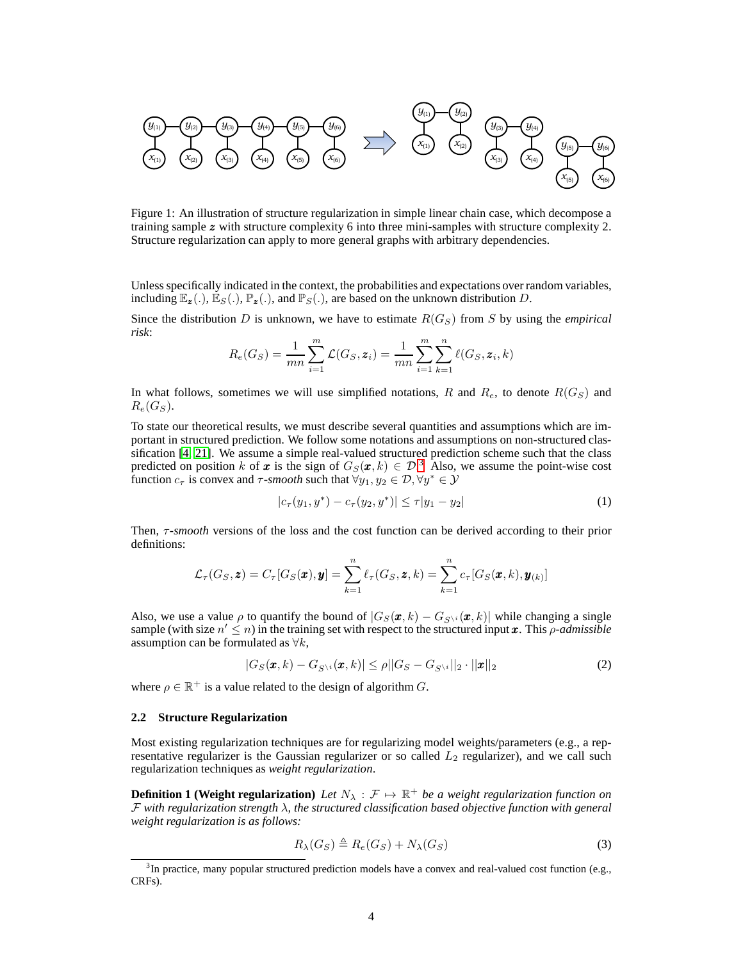

<span id="page-3-1"></span>Figure 1: An illustration of structure regularization in simple linear chain case, which decompose a training sample z with structure complexity 6 into three mini-samples with structure complexity 2. Structure regularization can apply to more general graphs with arbitrary dependencies.

Unless specifically indicated in the context, the probabilities and expectations over random variables, including  $\mathbb{E}_{\mathbf{z}}(.)$ ,  $\mathbb{E}_{S}(.)$ ,  $\mathbb{P}_{\mathbf{z}}(.)$ , and  $\mathbb{P}_{S}(.)$ , are based on the unknown distribution D.

Since the distribution D is unknown, we have to estimate  $R(G<sub>S</sub>)$  from S by using the *empirical risk*:

$$
R_e(G_S) = \frac{1}{mn} \sum_{i=1}^{m} \mathcal{L}(G_S, \mathbf{z}_i) = \frac{1}{mn} \sum_{i=1}^{m} \sum_{k=1}^{n} \ell(G_S, \mathbf{z}_i, k)
$$

In what follows, sometimes we will use simplified notations, R and  $R_e$ , to denote  $R(G<sub>S</sub>)$  and  $R_e(G_S)$ .

To state our theoretical results, we must describe several quantities and assumptions which are important in structured prediction. We follow some notations and assumptions on non-structured classification [\[4,](#page-19-7) [21\]](#page-20-10). We assume a simple real-valued structured prediction scheme such that the class predicted on position k of x is the sign of  $G_S(x, k) \in \mathcal{D}^3$  $G_S(x, k) \in \mathcal{D}^3$ . Also, we assume the point-wise cost function  $c_{\tau}$  is convex and  $\tau$ -smooth such that  $\forall y_1, y_2 \in \mathcal{D}, \forall y^* \in \mathcal{Y}$ 

<span id="page-3-3"></span>
$$
|c_{\tau}(y_1, y^*) - c_{\tau}(y_2, y^*)| \le \tau |y_1 - y_2| \tag{1}
$$

Then, τ*-smooth* versions of the loss and the cost function can be derived according to their prior definitions:

$$
\mathcal{L}_{\tau}(G_S, \mathbf{z}) = C_{\tau}[G_S(\mathbf{x}), \mathbf{y}] = \sum_{k=1}^n \ell_{\tau}(G_S, \mathbf{z}, k) = \sum_{k=1}^n c_{\tau}[G_S(\mathbf{x}, k), \mathbf{y}_{(k)}]
$$

Also, we use a value  $\rho$  to quantify the bound of  $|G_S(\pmb{x}, k) - G_{S\setminus i}(\pmb{x}, k)|$  while changing a single sample (with size  $n' \leq n$ ) in the training set with respect to the structured input x. This *ρ-admissible* assumption can be formulated as  $\forall k$ ,

<span id="page-3-4"></span>
$$
|G_S(\boldsymbol{x},k) - G_{S^{\setminus i}}(\boldsymbol{x},k)| \le \rho ||G_S - G_{S^{\setminus i}}||_2 \cdot ||\boldsymbol{x}||_2 \tag{2}
$$

where  $\rho \in \mathbb{R}^+$  is a value related to the design of algorithm G.

#### **2.2 Structure Regularization**

Most existing regularization techniques are for regularizing model weights/parameters (e.g., a representative regularizer is the Gaussian regularizer or so called  $L_2$  regularizer), and we call such regularization techniques as *weight regularization*.

**Definition 1 (Weight regularization)** Let  $N_{\lambda} : \mathcal{F} \mapsto \mathbb{R}^+$  be a weight regularization function on F *with regularization strength* λ*, the structured classification based objective function with general weight regularization is as follows:*

<span id="page-3-2"></span>
$$
R_{\lambda}(G_S) \triangleq R_e(G_S) + N_{\lambda}(G_S)
$$
\n(3)

<span id="page-3-0"></span> ${}^{3}$ In practice, many popular structured prediction models have a convex and real-valued cost function (e.g., CRFs).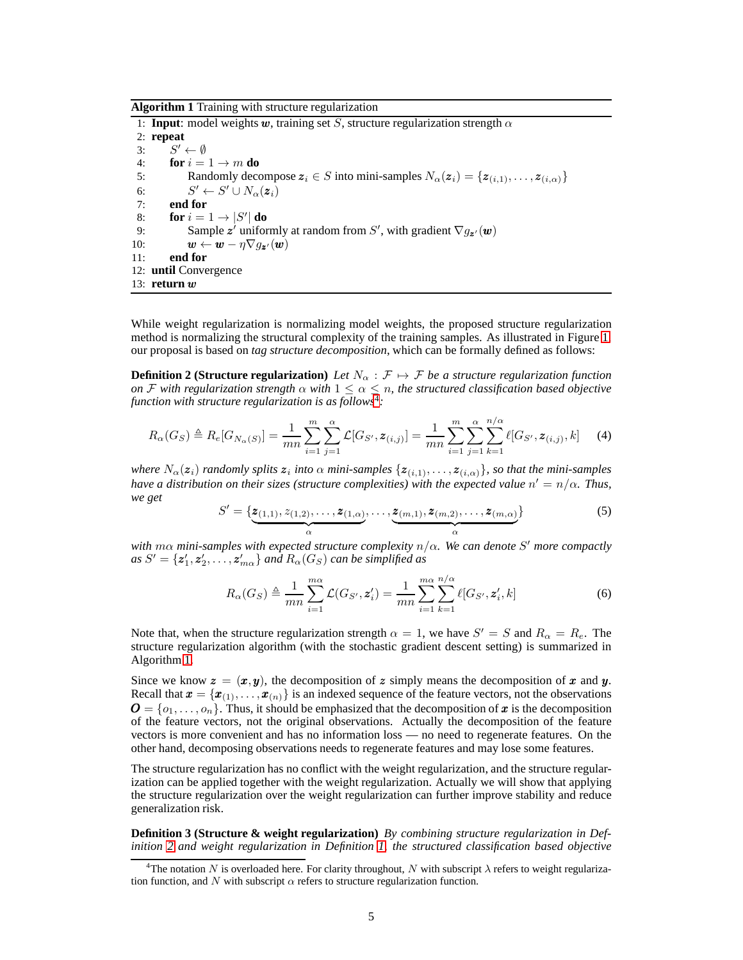<span id="page-4-1"></span>**Algorithm 1** Training with structure regularization

1: **Input**: model weights w, training set S, structure regularization strength  $\alpha$ 2: **repeat** 3:  $S' \leftarrow \emptyset$ 4: **for**  $i = 1 \rightarrow m$  **do**<br>5: **Randomly deco** 5: Randomly decompose  $z_i \in S$  into mini-samples  $N_{\alpha}(z_i) = \{z_{(i,1)}, \ldots, z_{(i,\alpha)}\}$ <br>6:  $S' \leftarrow S' \cup N_{\alpha}(z_i)$ 6:  $S' \leftarrow S' \cup N_{\alpha}(z_i)$ 7: **end for** 8: **for**  $i = 1 \rightarrow |S'|$  **do** 9: Sample z' uniformly at random from S', with gradient  $\nabla g_{\mathbf{z}'}(\mathbf{w})$ 10:  $\mathbf{w} \leftarrow \mathbf{w} - \eta \nabla g_{\mathbf{z}'}(\mathbf{w})$ 11: **end for** 12: **until** Convergence 13: **return** w

While weight regularization is normalizing model weights, the proposed structure regularization method is normalizing the structural complexity of the training samples. As illustrated in Figure [1,](#page-3-1) our proposal is based on *tag structure decomposition*, which can be formally defined as follows:

**Definition 2 (Structure regularization)** *Let*  $N_\alpha$  :  $\mathcal{F} \mapsto \mathcal{F}$  *be a structure regularization function on*  $\mathcal F$  *with regularization strength*  $\alpha$  *with*  $1 \leq \alpha \leq n$ , the structured classification based objective *function with structure regularization is as follows*<sup>[4](#page-4-0)</sup>:

$$
R_{\alpha}(G_S) \triangleq R_e[G_{N_{\alpha}(S)}] = \frac{1}{mn} \sum_{i=1}^m \sum_{j=1}^{\alpha} \mathcal{L}[G_{S'}, \mathbf{z}_{(i,j)}] = \frac{1}{mn} \sum_{i=1}^m \sum_{j=1}^{\alpha} \sum_{k=1}^{n/\alpha} \ell[G_{S'}, \mathbf{z}_{(i,j)}, k] \tag{4}
$$

*where*  $N_\alpha(z_i)$  *randomly splits*  $z_i$  *into*  $\alpha$  *mini-samples*  $\{z_{(i,1)}, \ldots, z_{(i,\alpha)}\}$ *, so that the mini-samples* have a distribution on their sizes (structure complexities) with the expected value  $n' = n/\alpha$ . Thus, *we get*

<span id="page-4-2"></span>
$$
S' = \{ \underbrace{z_{(1,1)}, z_{(1,2)}, \dots, z_{(1,\alpha)}}_{\alpha}, \dots, \underbrace{z_{(m,1)}, z_{(m,2)}, \dots, z_{(m,\alpha)}}_{\alpha} \}
$$
(5)

*with* mα *mini-samples with expected structure complexity* n/α*. We can denote* S ′ *more compactly*  $as S' = {\bf z}'_1, {\bf z}'_2, \ldots, {\bf z}'_{m\alpha}$  *and*  $R_\alpha(G_S)$  *can be simplified as* 

$$
R_{\alpha}(G_S) \triangleq \frac{1}{mn} \sum_{i=1}^{m\alpha} \mathcal{L}(G_{S'}, \mathbf{z}'_i) = \frac{1}{mn} \sum_{i=1}^{m\alpha} \sum_{k=1}^{n/\alpha} \ell[G_{S'}, \mathbf{z}'_i, k]
$$
(6)

Note that, when the structure regularization strength  $\alpha = 1$ , we have  $S' = S$  and  $R_{\alpha} = R_e$ . The structure regularization algorithm (with the stochastic gradient descent setting) is summarized in Algorithm [1.](#page-4-1)

Since we know  $\mathbf{z} = (\mathbf{x}, \mathbf{y})$ , the decomposition of z simply means the decomposition of x and y. Recall that  $\mathbf{x} = \{\mathbf{x}_{(1)}, \dots, \mathbf{x}_{(n)}\}$  is an indexed sequence of the feature vectors, not the observations  $\boldsymbol{O} = \{o_1, \ldots, o_n\}$ . Thus, it should be emphasized that the decomposition of x is the decomposition of the feature vectors, not the original observations. Actually the decomposition of the feature vectors is more convenient and has no information loss — no need to regenerate features. On the other hand, decomposing observations needs to regenerate features and may lose some features.

The structure regularization has no conflict with the weight regularization, and the structure regularization can be applied together with the weight regularization. Actually we will show that applying the structure regularization over the weight regularization can further improve stability and reduce generalization risk.

**Definition 3 (Structure & weight regularization)** *By combining structure regularization in Definition [2](#page-4-2) and weight regularization in Definition [1,](#page-3-2) the structured classification based objective*

<span id="page-4-0"></span><sup>&</sup>lt;sup>4</sup>The notation N is overloaded here. For clarity throughout, N with subscript  $\lambda$  refers to weight regularization function, and  $N$  with subscript  $\alpha$  refers to structure regularization function.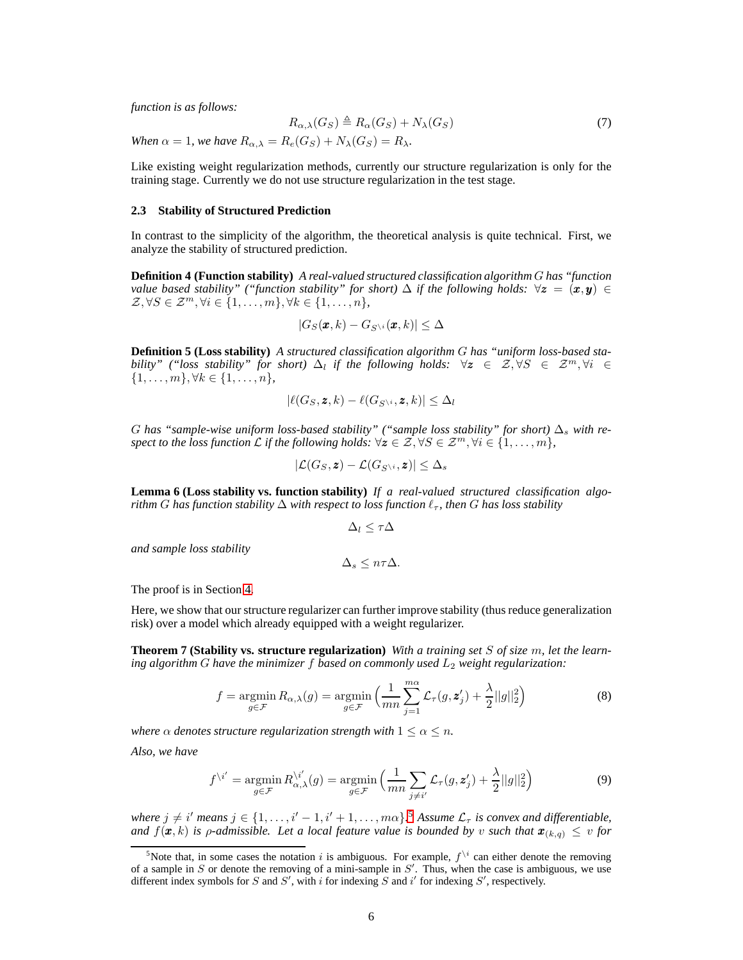*function is as follows:*

$$
R_{\alpha,\lambda}(G_S) \triangleq R_{\alpha}(G_S) + N_{\lambda}(G_S)
$$
\n(7)

*When*  $\alpha = 1$ *, we have*  $R_{\alpha,\lambda} = R_e(G_S) + N_\lambda(G_S) = R_\lambda$ *.* 

Like existing weight regularization methods, currently our structure regularization is only for the training stage. Currently we do not use structure regularization in the test stage.

#### **2.3 Stability of Structured Prediction**

In contrast to the simplicity of the algorithm, the theoretical analysis is quite technical. First, we analyze the stability of structured prediction.

**Definition 4 (Function stability)** *A real-valued structured classification algorithm* G *has "function value based stability" ("function stability" for short)*  $\Delta$  *if the following holds:*  $\forall z = (\pmb{x}, \pmb{y}) \in$  $\mathcal{Z}, \forall S \in \mathcal{Z}^m, \forall i \in \{1, \ldots, m\}, \forall k \in \{1, \ldots, n\},\$ 

$$
|G_S(\pmb{x},k)-G_{S\setminus i}(\pmb{x},k)|\leq \Delta
$$

**Definition 5 (Loss stability)** *A structured classification algorithm* G *has "uniform loss-based stability" ("loss stability" for short)*  $\Delta_l$  *if the following holds:*  $\forall z \in \mathcal{Z}, \forall S \in \mathcal{Z}^m, \forall i \in \mathcal{Z}$  $\{1, \ldots, m\}, \forall k \in \{1, \ldots, n\},\$ 

$$
|\ell(G_S, \mathbf{z}, k) - \ell(G_{S\setminus i}, \mathbf{z}, k)| \leq \Delta_l
$$

G has "sample-wise uniform loss-based stability" ("sample loss stability" for short)  $\Delta_s$  with re*spect to the loss function*  $\mathcal L$  *if the following holds:*  $\forall z \in \mathcal Z, \forall S \in \mathcal Z^m, \forall i \in \{1, \ldots, m\}$ *,* 

$$
|\mathcal{L}(G_S,\boldsymbol{z})-\mathcal{L}(G_{S^{\setminus i}},\boldsymbol{z})|\leq \Delta_s
$$

<span id="page-5-2"></span>**Lemma 6 (Loss stability vs. function stability)** *If a real-valued structured classification algorithm* G has function stability  $\Delta$  with respect to loss function  $\ell_{\tau}$ , then G has loss stability

$$
\Delta_l \leq \tau \Delta
$$

*and sample loss stability*

 $\Delta$ <sub>s</sub> <  $n\tau\Delta$ .

The proof is in Section [4.](#page-11-0)

<span id="page-5-3"></span>Here, we show that our structure regularizer can further improve stability (thus reduce generalization risk) over a model which already equipped with a weight regularizer.

**Theorem 7 (Stability vs. structure regularization)** *With a training set* S *of size* m*, let the learning algorithm* G have the minimizer f based on commonly used  $L_2$  weight regularization:

<span id="page-5-1"></span>
$$
f = \underset{g \in \mathcal{F}}{\operatorname{argmin}} R_{\alpha,\lambda}(g) = \underset{g \in \mathcal{F}}{\operatorname{argmin}} \left( \frac{1}{mn} \sum_{j=1}^{m\alpha} \mathcal{L}_{\tau}(g, \mathbf{z}'_j) + \frac{\lambda}{2} ||g||_2^2 \right) \tag{8}
$$

*where*  $\alpha$  *denotes structure regularization strength with*  $1 \leq \alpha \leq n$ *.* 

*Also, we have*

$$
f^{\backslash i'} = \underset{g \in \mathcal{F}}{\operatorname{argmin}} R_{\alpha,\lambda}^{\backslash i'}(g) = \underset{g \in \mathcal{F}}{\operatorname{argmin}} \left( \frac{1}{mn} \sum_{j \neq i'} \mathcal{L}_{\tau}(g, z'_j) + \frac{\lambda}{2} ||g||_2^2 \right)
$$
(9)

*where*  $j \neq i'$  *means*  $j \in \{1, \ldots, i'-1, i'+1, \ldots, m\alpha\}$ <sup>[5](#page-5-0)</sup> *Assume*  $\mathcal{L}_{\tau}$  *is convex and differentiable, and*  $f(\pmb{x}, k)$  *is*  $\rho$ -admissible. Let a local feature value is bounded by v such that  $\pmb{x}_{(k,q)} \leq v$  for

<span id="page-5-0"></span><sup>&</sup>lt;sup>5</sup>Note that, in some cases the notation i is ambiguous. For example,  $f^{\setminus i}$  can either denote the removing of a sample in  $S$  or denote the removing of a mini-sample in  $S'$ . Thus, when the case is ambiguous, we use different index symbols for S and S', with i for indexing S and i' for indexing S', respectively.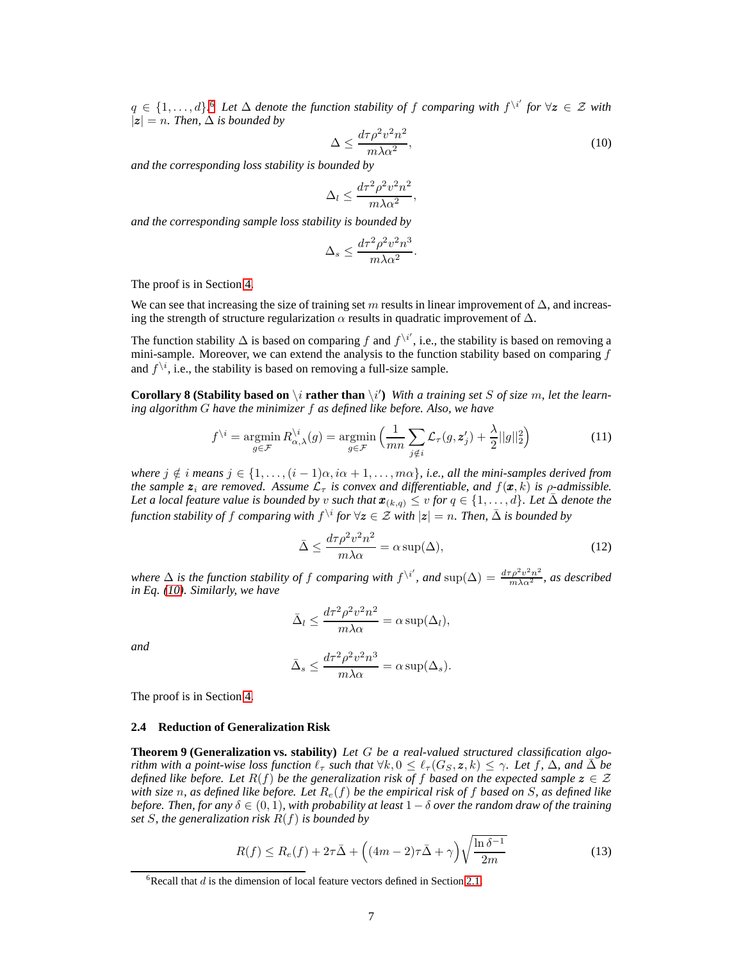$q \in \{1, \ldots, d\}$ <sup>[6](#page-6-0)</sup> Let  $\Delta$  denote the function stability of f comparing with  $f^{\setminus i'}$  for  $\forall z \in \mathcal{Z}$  with  $|z| = n$ . Then,  $\Delta$  *is bounded by* 

<span id="page-6-1"></span>
$$
\Delta \le \frac{d\tau \rho^2 v^2 n^2}{m\lambda \alpha^2},\tag{10}
$$

*and the corresponding loss stability is bounded by*

$$
\Delta_l \le \frac{d\tau^2 \rho^2 v^2 n^2}{m \lambda \alpha^2},
$$

*and the corresponding sample loss stability is bounded by*

$$
\Delta_s \le \frac{d\tau^2 \rho^2 v^2 n^3}{m\lambda \alpha^2}
$$

The proof is in Section [4.](#page-11-0)

We can see that increasing the size of training set m results in linear improvement of  $\Delta$ , and increasing the strength of structure regularization  $\alpha$  results in quadratic improvement of  $\Delta$ .

The function stability  $\Delta$  is based on comparing f and  $f^{\setminus i'}$ , i.e., the stability is based on removing a mini-sample. Moreover, we can extend the analysis to the function stability based on comparing  $f$ and  $f^{\setminus i}$ , i.e., the stability is based on removing a full-size sample.

<span id="page-6-2"></span>**Corollary 8 (Stability based on**  $\setminus i$  **rather than**  $\setminus i'$ ) With a training set S of size m, let the learn*ing algorithm* G *have the minimizer* f *as defined like before. Also, we have*

$$
f^{\setminus i} = \operatorname*{argmin}_{g \in \mathcal{F}} R_{\alpha,\lambda}^{\setminus i}(g) = \operatorname*{argmin}_{g \in \mathcal{F}} \left( \frac{1}{mn} \sum_{j \notin i} \mathcal{L}_{\tau}(g, \mathbf{z}'_j) + \frac{\lambda}{2} ||g||_2^2 \right)
$$
(11)

.

*where*  $j \notin i$  *means*  $j \in \{1, \ldots, (i-1)\alpha, i\alpha + 1, \ldots, m\alpha\}$ , *i.e., all the mini-samples derived from the sample*  $z_i$  *are removed. Assume*  $\mathcal{L}_{\tau}$  *is convex and differentiable, and*  $f(x, k)$  *is*  $\rho$ *-admissible. Let a local feature value is bounded by* v *such that*  $\mathbf{x}_{(k,q)} \leq v$  *for*  $q \in \{1,\ldots,d\}$ *. Let*  $\bar{\Delta}$  *denote the function stability of f comparing with*  $f^{\setminus i}$  *for*  $\forall z \in \mathcal{Z}$  *with*  $|z| = n$ *. Then,*  $\bar{\Delta}$  *is bounded by* 

<span id="page-6-4"></span>
$$
\bar{\Delta} \le \frac{d\tau \rho^2 v^2 n^2}{m\lambda \alpha} = \alpha \sup(\Delta),\tag{12}
$$

where  $\Delta$  *is the function stability of f comparing with*  $f^{\setminus i'}$ , and  $\sup(\Delta) = \frac{d\tau \rho^2 v^2 n^2}{m\lambda \alpha^2}$ , as described *in Eq. [\(10\)](#page-6-1). Similarly, we have*

$$
\bar{\Delta}_l \le \frac{d\tau^2 \rho^2 v^2 n^2}{m\lambda \alpha} = \alpha \sup(\Delta_l),
$$

*and*

$$
\bar{\Delta}_s \le \frac{d\tau^2 \rho^2 v^2 n^3}{m \lambda \alpha} = \alpha \sup(\Delta_s).
$$

The proof is in Section [4.](#page-11-0)

# <span id="page-6-3"></span>**2.4 Reduction of Generalization Risk**

**Theorem 9 (Generalization vs. stability)** *Let* G *be a real-valued structured classification algorithm with a point-wise loss function*  $\ell_{\tau}$  *such that*  $\forall k, 0 \leq \ell_{\tau}(G_S, \mathbf{z}, k) \leq \gamma$ . Let f,  $\Delta$ , and  $\bar{\Delta}$  be *defined like before. Let*  $R(f)$  *be the generalization risk of* f *based on the expected sample*  $z \in \mathcal{Z}$ *with size* n*, as defined like before. Let* Re(f) *be the empirical risk of* f *based on* S*, as defined like before. Then, for any*  $\delta \in (0, 1)$ *, with probability at least*  $1 - \delta$  *over the random draw of the training set* S*, the generalization risk* R(f) *is bounded by*

<span id="page-6-5"></span>
$$
R(f) \le R_e(f) + 2\tau \bar{\Delta} + \left( (4m - 2)\tau \bar{\Delta} + \gamma \right) \sqrt{\frac{\ln \delta^{-1}}{2m}} \tag{13}
$$

<span id="page-6-0"></span><sup>&</sup>lt;sup>6</sup>Recall that  $d$  is the dimension of local feature vectors defined in Section [2.1.](#page-1-1)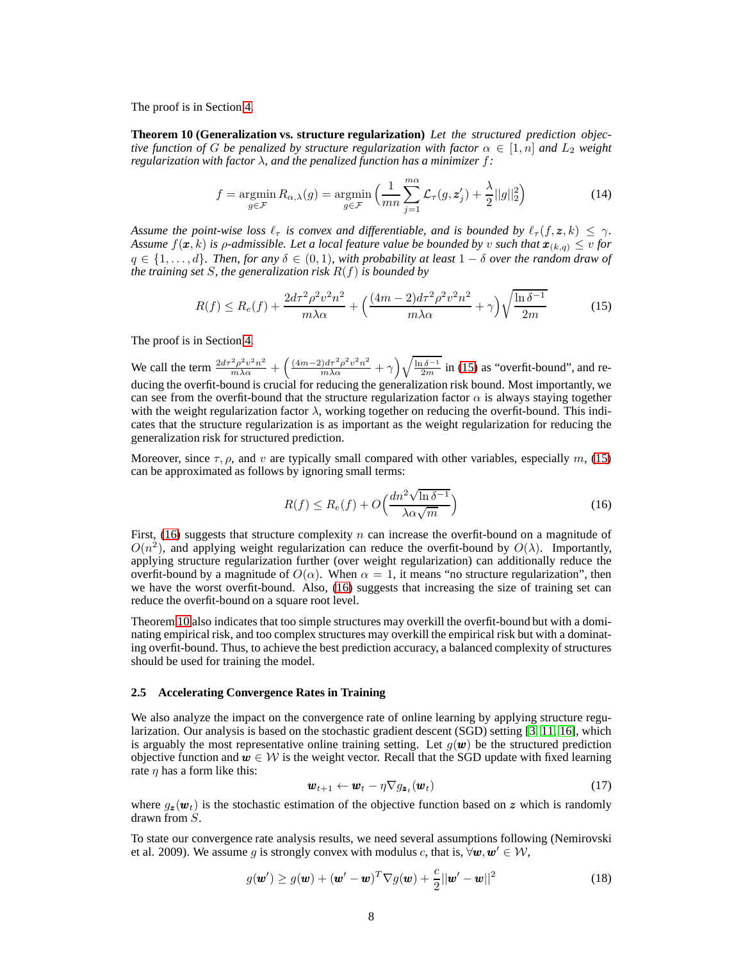<span id="page-7-2"></span>The proof is in Section [4.](#page-11-0)

**Theorem 10 (Generalization vs. structure regularization)** *Let the structured prediction objective function of G be penalized by structure regularization with factor*  $\alpha \in [1, n]$  *and*  $L_2$  *weight regularization with factor* λ*, and the penalized function has a minimizer* f*:*

$$
f = \underset{g \in \mathcal{F}}{\operatorname{argmin}} R_{\alpha,\lambda}(g) = \underset{g \in \mathcal{F}}{\operatorname{argmin}} \left( \frac{1}{mn} \sum_{j=1}^{m\alpha} \mathcal{L}_{\tau}(g, \mathbf{z}'_j) + \frac{\lambda}{2} ||g||_2^2 \right)
$$
(14)

*Assume the point-wise loss*  $\ell_{\tau}$  *is convex and differentiable, and is bounded by*  $\ell_{\tau}(f, z, k) \leq \gamma$ *. Assume*  $f(\mathbf{x}, k)$  *is*  $\rho$ *-admissible. Let a local feature value be bounded by v such that*  $\mathbf{x}_{(k,q)} \leq v$  *for*  $q \in \{1, \ldots, d\}$ . Then, for any  $\delta \in (0, 1)$ , with probability at least  $1 - \delta$  over the random draw of *the training set* S*, the generalization risk* R(f) *is bounded by*

<span id="page-7-0"></span>
$$
R(f) \le R_e(f) + \frac{2d\tau^2 \rho^2 v^2 n^2}{m\lambda \alpha} + \left(\frac{(4m-2)d\tau^2 \rho^2 v^2 n^2}{m\lambda \alpha} + \gamma\right) \sqrt{\frac{\ln \delta^{-1}}{2m}}\tag{15}
$$

The proof is in Section [4.](#page-11-0)

We call the term  $\frac{2d\tau^2 \rho^2 v^2 n^2}{m\lambda \alpha} + \left(\frac{(4m-2)d\tau^2 \rho^2 v^2 n^2}{m\lambda \alpha} + \gamma\right) \sqrt{\frac{\ln \delta^{-1}}{2m}}$  in [\(15\)](#page-7-0) as "overfit-bound", and reducing the overfit-bound is crucial for reducing the generalization risk bound. Most importantly, we can see from the overfit-bound that the structure regularization factor  $\alpha$  is always staying together with the weight regularization factor  $\lambda$ , working together on reducing the overfit-bound. This indicates that the structure regularization is as important as the weight regularization for reducing the generalization risk for structured prediction.

Moreover, since  $\tau$ ,  $\rho$ , and v are typically small compared with other variables, especially m, [\(15\)](#page-7-0) can be approximated as follows by ignoring small terms:

<span id="page-7-1"></span>
$$
R(f) \le R_e(f) + O\left(\frac{dn^2 \sqrt{\ln \delta^{-1}}}{\lambda \alpha \sqrt{m}}\right)
$$
\n(16)

First, [\(16\)](#page-7-1) suggests that structure complexity n can increase the overfit-bound on a magnitude of  $O(n^2)$ , and applying weight regularization can reduce the overfit-bound by  $O(\lambda)$ . Importantly, applying structure regularization further (over weight regularization) can additionally reduce the overfit-bound by a magnitude of  $O(\alpha)$ . When  $\alpha = 1$ , it means "no structure regularization", then we have the worst overfit-bound. Also, [\(16\)](#page-7-1) suggests that increasing the size of training set can reduce the overfit-bound on a square root level.

Theorem [10](#page-7-2) also indicates that too simple structures may overkill the overfit-bound but with a dominating empirical risk, and too complex structures may overkill the empirical risk but with a dominating overfit-bound. Thus, to achieve the best prediction accuracy, a balanced complexity of structures should be used for training the model.

#### <span id="page-7-3"></span>**2.5 Accelerating Convergence Rates in Training**

We also analyze the impact on the convergence rate of online learning by applying structure regularization. Our analysis is based on the stochastic gradient descent (SGD) setting [\[3,](#page-19-10) [11,](#page-19-11) [16\]](#page-20-12), which is arguably the most representative online training setting. Let  $g(\mathbf{w})$  be the structured prediction objective function and  $w \in \mathcal{W}$  is the weight vector. Recall that the SGD update with fixed learning rate  $\eta$  has a form like this:

<span id="page-7-4"></span>
$$
\mathbf{w}_{t+1} \leftarrow \mathbf{w}_t - \eta \nabla g_{\mathbf{z}_t}(\mathbf{w}_t) \tag{17}
$$

where  $g_z(\mathbf{w}_t)$  is the stochastic estimation of the objective function based on z which is randomly drawn from S.

To state our convergence rate analysis results, we need several assumptions following (Nemirovski et al. 2009). We assume g is strongly convex with modulus c, that is,  $\forall w, w' \in W$ ,

<span id="page-7-5"></span>
$$
g(\boldsymbol{w}') \ge g(\boldsymbol{w}) + (\boldsymbol{w}' - \boldsymbol{w})^T \nabla g(\boldsymbol{w}) + \frac{c}{2} ||\boldsymbol{w}' - \boldsymbol{w}||^2
$$
 (18)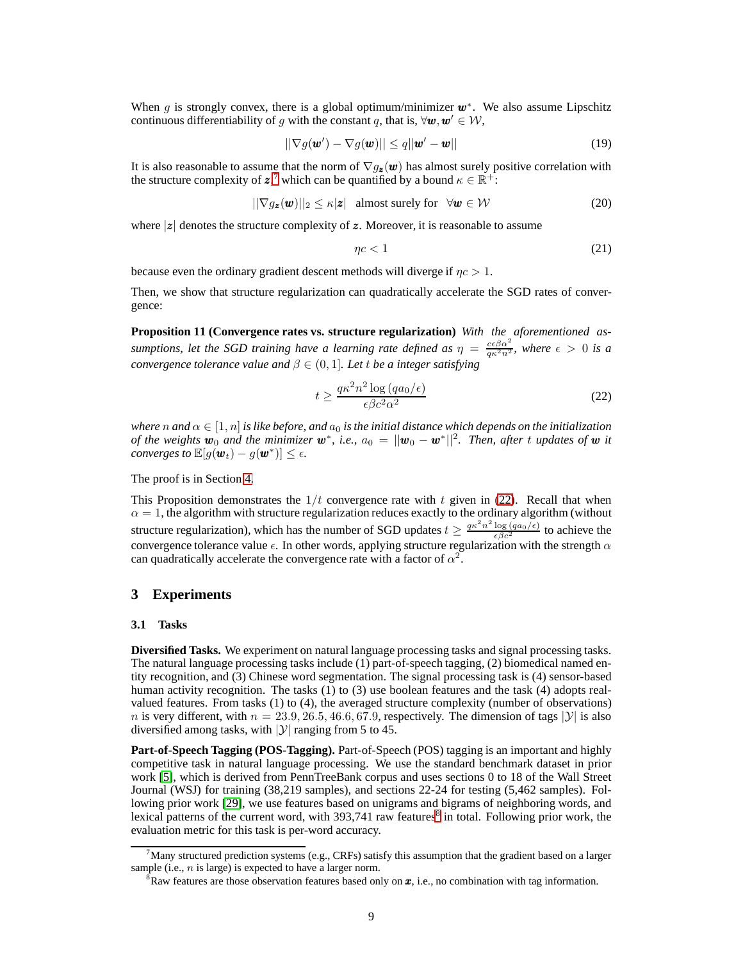When g is strongly convex, there is a global optimum/minimizer  $w^*$ . We also assume Lipschitz continuous differentiability of g with the constant q, that is,  $\forall w, w' \in W$ ,

<span id="page-8-5"></span>
$$
\|\nabla g(\boldsymbol{w}') - \nabla g(\boldsymbol{w})\| \le q \|\boldsymbol{w}' - \boldsymbol{w}\|
$$
\n(19)

It is also reasonable to assume that the norm of  $\nabla g_{z}(\boldsymbol{w})$  has almost surely positive correlation with the structure complexity of  $z^7$  $z^7$ , which can be quantified by a bound  $\kappa \in \mathbb{R}^+$ :

<span id="page-8-4"></span>
$$
||\nabla g_{\mathbf{z}}(\mathbf{w})||_2 \leq \kappa |\mathbf{z}| \quad \text{almost surely for} \quad \forall \mathbf{w} \in \mathcal{W} \tag{20}
$$

where  $|z|$  denotes the structure complexity of z. Moreover, it is reasonable to assume

<span id="page-8-6"></span>
$$
\eta c < 1\tag{21}
$$

because even the ordinary gradient descent methods will diverge if  $\eta c > 1$ .

<span id="page-8-3"></span>Then, we show that structure regularization can quadratically accelerate the SGD rates of convergence:

**Proposition 11 (Convergence rates vs. structure regularization)** *With the aforementioned assumptions, let the SGD training have a learning rate defined as*  $\eta = \frac{c\epsilon \beta \alpha^2}{q\kappa^2 n^2}$ , where  $\epsilon > 0$  *is a convergence tolerance value and*  $\beta \in (0, 1]$ *. Let t be a integer satisfying* 

<span id="page-8-1"></span>
$$
t \ge \frac{q\kappa^2 n^2 \log \left( q a_0 / \epsilon \right)}{\epsilon \beta c^2 \alpha^2} \tag{22}
$$

*where* n and  $\alpha \in [1, n]$  *is like before, and*  $a_0$  *is the initial distance which depends on the initialization of the weights*  $\mathbf{w}_0$  *and the minimizer*  $\mathbf{w}^*$ *, i.e.,*  $a_0 = ||\mathbf{w}_0 - \mathbf{w}^*||^2$ *. Then, after t updates of*  $\mathbf{w}$  *it converges to*  $\mathbb{E}[g(\boldsymbol{w}_t) - g(\boldsymbol{w}^*)] \leq \epsilon$ .

The proof is in Section [4.](#page-11-0)

This Proposition demonstrates the  $1/t$  convergence rate with t given in [\(22\)](#page-8-1). Recall that when  $\alpha = 1$ , the algorithm with structure regularization reduces exactly to the ordinary algorithm (without structure regularization), which has the number of SGD updates  $t \geq \frac{q\kappa^2 n^2 \log(qa_0/\epsilon)}{\epsilon \beta c^2}$  to achieve the convergence tolerance value  $\epsilon$ . In other words, applying structure regularization with the strength  $\alpha$ can quadratically accelerate the convergence rate with a factor of  $\alpha^2$ .

## **3 Experiments**

#### **3.1 Tasks**

**Diversified Tasks.** We experiment on natural language processing tasks and signal processing tasks. The natural language processing tasks include (1) part-of-speech tagging, (2) biomedical named entity recognition, and (3) Chinese word segmentation. The signal processing task is (4) sensor-based human activity recognition. The tasks (1) to (3) use boolean features and the task (4) adopts realvalued features. From tasks (1) to (4), the averaged structure complexity (number of observations) n is very different, with  $n = 23.9, 26.5, 46.6, 67.9$ , respectively. The dimension of tags  $|\mathcal{Y}|$  is also diversified among tasks, with  $|y|$  ranging from 5 to 45.

**Part-of-Speech Tagging (POS-Tagging).** Part-of-Speech (POS) tagging is an important and highly competitive task in natural language processing. We use the standard benchmark dataset in prior work [\[5\]](#page-19-1), which is derived from PennTreeBank corpus and uses sections 0 to 18 of the Wall Street Journal (WSJ) for training (38,219 samples), and sections 22-24 for testing (5,462 samples). Following prior work [\[29\]](#page-20-9), we use features based on unigrams and bigrams of neighboring words, and lexical patterns of the current word, with  $393,741$  raw features<sup>[8](#page-8-2)</sup> in total. Following prior work, the evaluation metric for this task is per-word accuracy.

 $^7$ Many structured prediction systems (e.g., CRFs) satisfy this assumption that the gradient based on a larger sample (i.e.,  $n$  is large) is expected to have a larger norm.

<span id="page-8-2"></span><span id="page-8-0"></span> ${}^{8}$ Raw features are those observation features based only on  $x$ , i.e., no combination with tag information.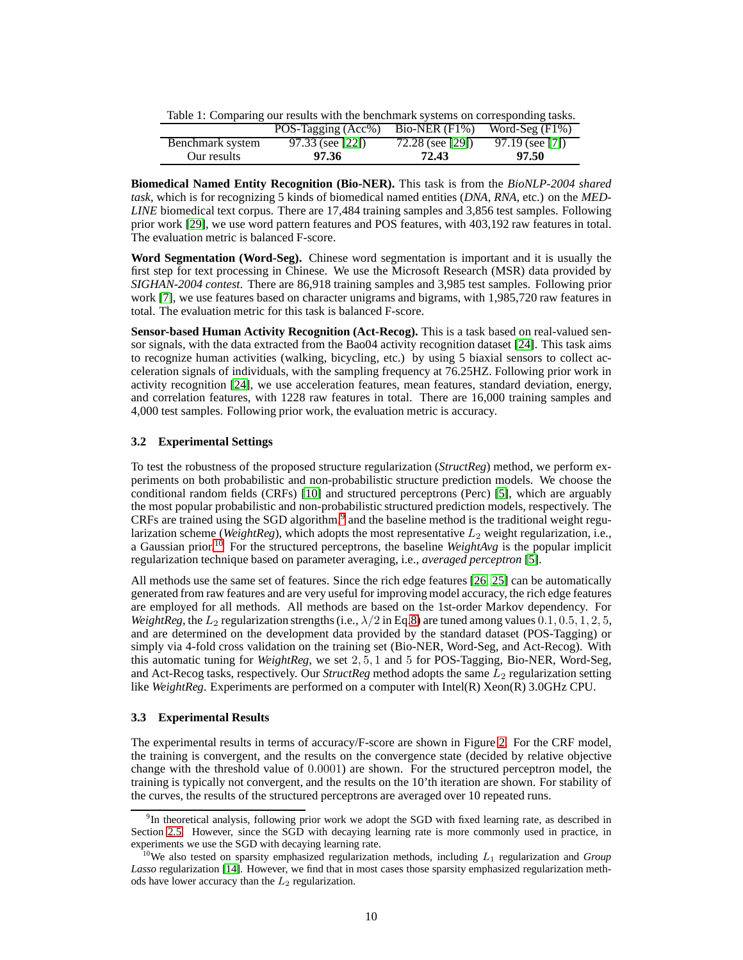<span id="page-9-2"></span>Table 1: Comparing our results with the benchmark systems on corresponding tasks.

|                  | POS-Tagging (Acc%) | $Bio-NER$ $(F1%)$ | Word-Seg $(F1\%)$ |
|------------------|--------------------|-------------------|-------------------|
| Benchmark system | $97.33$ (see [22]) | 72.28 (see [29])  | $97.19$ (see [7]) |
| Our results      | 97.36              | 72.43             | 97.50             |

**Biomedical Named Entity Recognition (Bio-NER).** This task is from the *BioNLP-2004 shared task*, which is for recognizing 5 kinds of biomedical named entities (*DNA*, *RNA*, etc.) on the *MED-LINE* biomedical text corpus. There are 17,484 training samples and 3,856 test samples. Following prior work [\[29\]](#page-20-9), we use word pattern features and POS features, with 403,192 raw features in total. The evaluation metric is balanced F-score.

**Word Segmentation (Word-Seg).** Chinese word segmentation is important and it is usually the first step for text processing in Chinese. We use the Microsoft Research (MSR) data provided by *SIGHAN-2004 contest*. There are 86,918 training samples and 3,985 test samples. Following prior work [\[7\]](#page-19-12), we use features based on character unigrams and bigrams, with 1,985,720 raw features in total. The evaluation metric for this task is balanced F-score.

**Sensor-based Human Activity Recognition (Act-Recog).** This is a task based on real-valued sensor signals, with the data extracted from the Bao04 activity recognition dataset [\[24\]](#page-20-14). This task aims to recognize human activities (walking, bicycling, etc.) by using 5 biaxial sensors to collect acceleration signals of individuals, with the sampling frequency at 76.25HZ. Following prior work in activity recognition [\[24\]](#page-20-14), we use acceleration features, mean features, standard deviation, energy, and correlation features, with 1228 raw features in total. There are 16,000 training samples and 4,000 test samples. Following prior work, the evaluation metric is accuracy.

## **3.2 Experimental Settings**

To test the robustness of the proposed structure regularization (*StructReg*) method, we perform experiments on both probabilistic and non-probabilistic structure prediction models. We choose the conditional random fields (CRFs) [\[10\]](#page-19-0) and structured perceptrons (Perc) [\[5\]](#page-19-1), which are arguably the most popular probabilistic and non-probabilistic structured prediction models, respectively. The CRFs are trained using the SGD algorithm,<sup>[9](#page-9-0)</sup> and the baseline method is the traditional weight regularization scheme (*WeightReg*), which adopts the most representative  $L_2$  weight regularization, i.e., a Gaussian prior.[10](#page-9-1) For the structured perceptrons, the baseline *WeightAvg* is the popular implicit regularization technique based on parameter averaging, i.e., *averaged perceptron* [\[5\]](#page-19-1).

All methods use the same set of features. Since the rich edge features [\[26,](#page-20-15) [25\]](#page-20-16) can be automatically generated from raw features and are very useful for improving model accuracy, the rich edge features are employed for all methods. All methods are based on the 1st-order Markov dependency. For *WeightReg*, the  $L_2$  regularization strengths (i.e.,  $\lambda/2$  in Eq[.8\)](#page-5-1) are tuned among values 0.1, 0.5, 1, 2, 5, and are determined on the development data provided by the standard dataset (POS-Tagging) or simply via 4-fold cross validation on the training set (Bio-NER, Word-Seg, and Act-Recog). With this automatic tuning for *WeightReg*, we set 2, 5, 1 and 5 for POS-Tagging, Bio-NER, Word-Seg, and Act-Recog tasks, respectively. Our *StructReg* method adopts the same  $L_2$  regularization setting like *WeightReg*. Experiments are performed on a computer with Intel(R) Xeon(R) 3.0GHz CPU.

#### **3.3 Experimental Results**

The experimental results in terms of accuracy/F-score are shown in Figure [2.](#page-10-0) For the CRF model, the training is convergent, and the results on the convergence state (decided by relative objective change with the threshold value of 0.0001) are shown. For the structured perceptron model, the training is typically not convergent, and the results on the 10'th iteration are shown. For stability of the curves, the results of the structured perceptrons are averaged over 10 repeated runs.

<span id="page-9-0"></span><sup>&</sup>lt;sup>9</sup>In theoretical analysis, following prior work we adopt the SGD with fixed learning rate, as described in Section [2.5.](#page-7-3) However, since the SGD with decaying learning rate is more commonly used in practice, in experiments we use the SGD with decaying learning rate.

<span id="page-9-1"></span><sup>&</sup>lt;sup>10</sup>We also tested on sparsity emphasized regularization methods, including  $L_1$  regularization and *Group Lasso* regularization [\[14\]](#page-20-3). However, we find that in most cases those sparsity emphasized regularization methods have lower accuracy than the  $L_2$  regularization.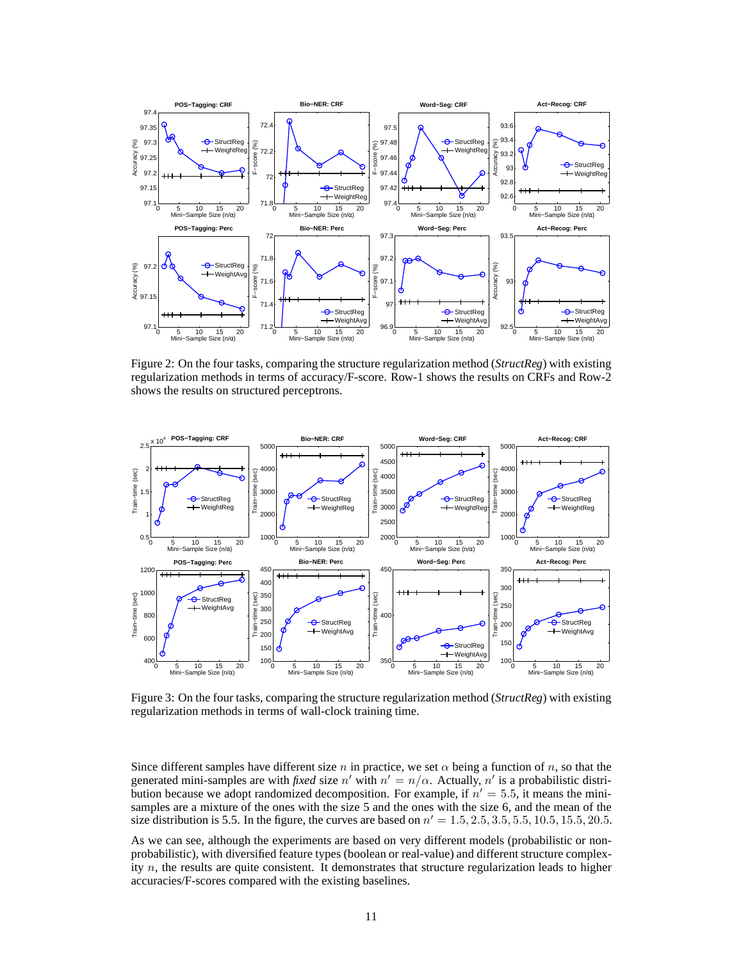

<span id="page-10-0"></span>Figure 2: On the four tasks, comparing the structure regularization method (*StructReg*) with existing regularization methods in terms of accuracy/F-score. Row-1 shows the results on CRFs and Row-2 shows the results on structured perceptrons.



<span id="page-10-1"></span>Figure 3: On the four tasks, comparing the structure regularization method (*StructReg*) with existing regularization methods in terms of wall-clock training time.

Since different samples have different size n in practice, we set  $\alpha$  being a function of n, so that the generated mini-samples are with *fixed* size n' with  $n' = n/\alpha$ . Actually, n' is a probabilistic distribution because we adopt randomized decomposition. For example, if  $n' = 5.5$ , it means the minisamples are a mixture of the ones with the size 5 and the ones with the size 6, and the mean of the size distribution is 5.5. In the figure, the curves are based on  $n' = 1.5, 2.5, 3.5, 5.5, 10.5, 15.5, 20.5$ .

As we can see, although the experiments are based on very different models (probabilistic or nonprobabilistic), with diversified feature types (boolean or real-value) and different structure complexity  $n$ , the results are quite consistent. It demonstrates that structure regularization leads to higher accuracies/F-scores compared with the existing baselines.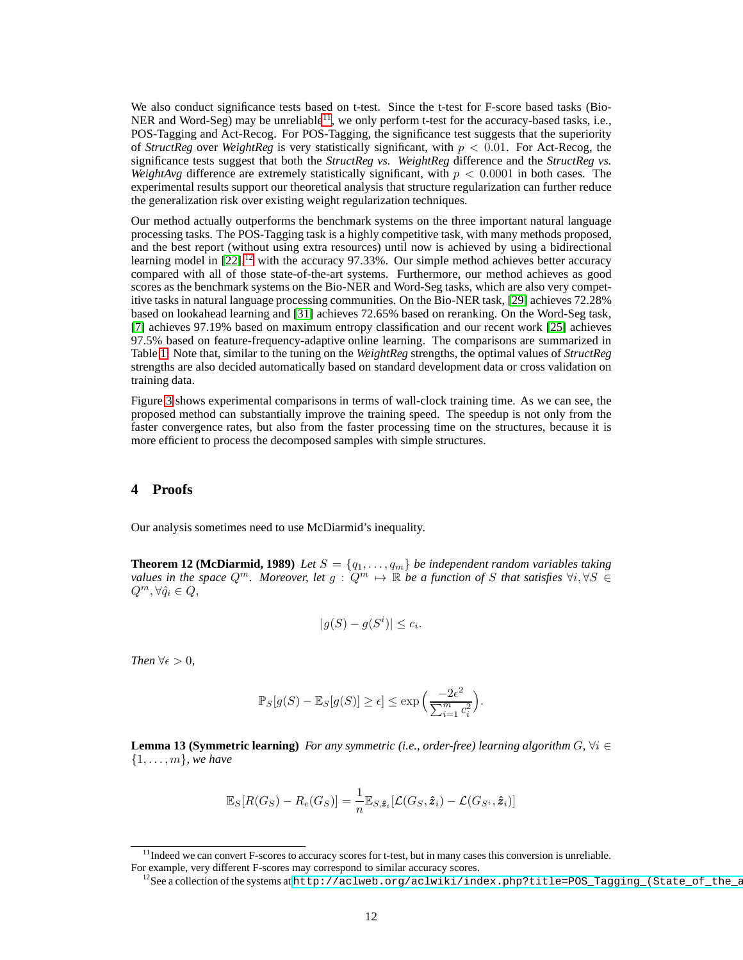We also conduct significance tests based on t-test. Since the t-test for F-score based tasks (Bio-NER and Word-Seg) may be unreliable<sup>[11](#page-11-1)</sup>, we only perform t-test for the accuracy-based tasks, i.e., POS-Tagging and Act-Recog. For POS-Tagging, the significance test suggests that the superiority of *StructReg* over *WeightReg* is very statistically significant, with p < 0.01. For Act-Recog, the significance tests suggest that both the *StructReg vs. WeightReg* difference and the *StructReg vs. WeightAvg* difference are extremely statistically significant, with  $p < 0.0001$  in both cases. The experimental results support our theoretical analysis that structure regularization can further reduce the generalization risk over existing weight regularization techniques.

Our method actually outperforms the benchmark systems on the three important natural language processing tasks. The POS-Tagging task is a highly competitive task, with many methods proposed, and the best report (without using extra resources) until now is achieved by using a bidirectional learning model in  $[22]$ ,<sup>[12](#page-11-2)</sup> with the accuracy 97.33%. Our simple method achieves better accuracy compared with all of those state-of-the-art systems. Furthermore, our method achieves as good scores as the benchmark systems on the Bio-NER and Word-Seg tasks, which are also very competitive tasks in natural language processing communities. On the Bio-NER task, [\[29\]](#page-20-9) achieves 72.28% based on lookahead learning and [\[31\]](#page-20-17) achieves 72.65% based on reranking. On the Word-Seg task, [\[7\]](#page-19-12) achieves 97.19% based on maximum entropy classification and our recent work [\[25\]](#page-20-16) achieves 97.5% based on feature-frequency-adaptive online learning. The comparisons are summarized in Table [1.](#page-9-2) Note that, similar to the tuning on the *WeightReg* strengths, the optimal values of *StructReg* strengths are also decided automatically based on standard development data or cross validation on training data.

Figure [3](#page-10-1) shows experimental comparisons in terms of wall-clock training time. As we can see, the proposed method can substantially improve the training speed. The speedup is not only from the faster convergence rates, but also from the faster processing time on the structures, because it is more efficient to process the decomposed samples with simple structures.

## <span id="page-11-0"></span>**4 Proofs**

<span id="page-11-3"></span>Our analysis sometimes need to use McDiarmid's inequality.

**Theorem 12 (McDiarmid, 1989)** *Let*  $S = \{q_1, \ldots, q_m\}$  *be independent random variables taking values in the space*  $Q^m$ . Moreover, let  $g: Q^m \mapsto \mathbb{R}$  be a function of S that satisfies  $\forall i, \forall S \in$  $Q^m, \forall \hat{q}_i \in Q,$ 

$$
|g(S) - g(S^i)| \le c_i.
$$

*Then*  $\forall \epsilon > 0$ *,* 

$$
\mathbb{P}_S[g(S) - \mathbb{E}_S[g(S)] \ge \epsilon] \le \exp\left(\frac{-2\epsilon^2}{\sum_{i=1}^m c_i^2}\right).
$$

<span id="page-11-4"></span>**Lemma 13 (Symmetric learning)** *For any symmetric (i.e., order-free) learning algorithm*  $G$ ,  $\forall i \in$ {1, . . . , m}*, we have*

$$
\mathbb{E}_{S}[R(G_{S}) - R_{e}(G_{S})] = \frac{1}{n} \mathbb{E}_{S, \hat{\boldsymbol{z}}_{i}}[\mathcal{L}(G_{S}, \hat{\boldsymbol{z}}_{i}) - \mathcal{L}(G_{S^{i}}, \hat{\boldsymbol{z}}_{i})]
$$

 $<sup>11</sup>$  Indeed we can convert F-scores to accuracy scores for t-test, but in many cases this conversion is unreliable.</sup> For example, very different F-scores may correspond to similar accuracy scores.

<span id="page-11-2"></span><span id="page-11-1"></span><sup>&</sup>lt;sup>12</sup>See a collection of the systems at http://aclweb.org/aclwiki/index.php?title=POS\_Tagging\_(State\_of\_the\_artid)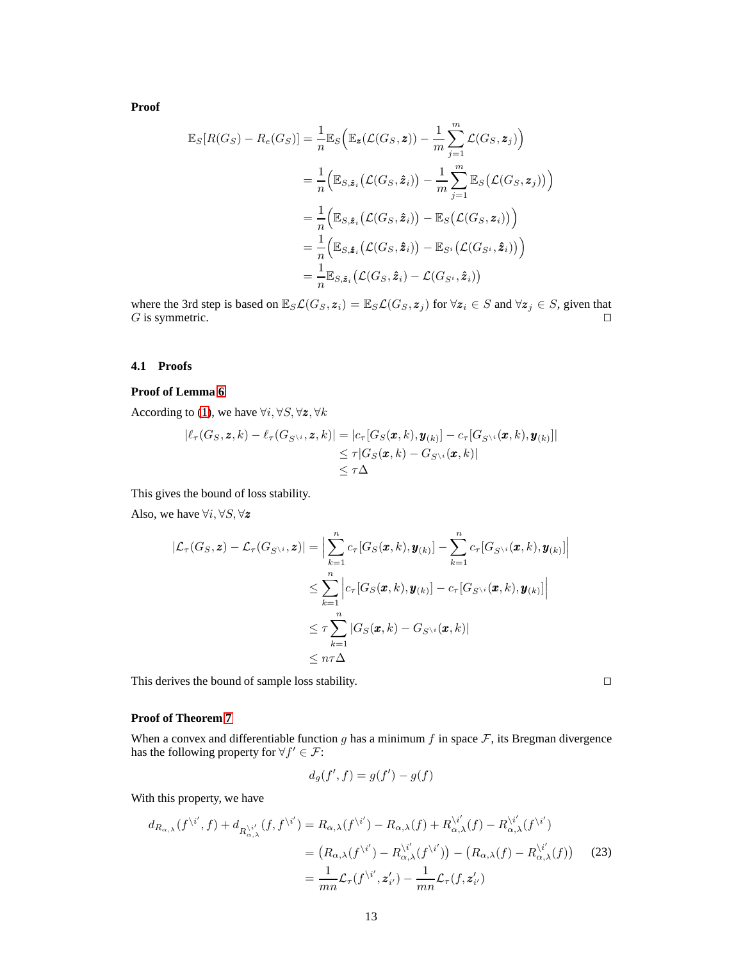**Proof**

$$
\mathbb{E}_{S}[R(G_{S}) - R_{e}(G_{S})] = \frac{1}{n} \mathbb{E}_{S} \Big( \mathbb{E}_{\mathbf{z}} (\mathcal{L}(G_{S}, \mathbf{z})) - \frac{1}{m} \sum_{j=1}^{m} \mathcal{L}(G_{S}, \mathbf{z}_{j}) \Big)
$$
  
\n
$$
= \frac{1}{n} \Big( \mathbb{E}_{S, \hat{\mathbf{z}}_{i}} (\mathcal{L}(G_{S}, \hat{\mathbf{z}}_{i})) - \frac{1}{m} \sum_{j=1}^{m} \mathbb{E}_{S} (\mathcal{L}(G_{S}, \mathbf{z}_{j})) \Big)
$$
  
\n
$$
= \frac{1}{n} \Big( \mathbb{E}_{S, \hat{\mathbf{z}}_{i}} (\mathcal{L}(G_{S}, \hat{\mathbf{z}}_{i})) - \mathbb{E}_{S} (\mathcal{L}(G_{S}, \mathbf{z}_{i})) \Big)
$$
  
\n
$$
= \frac{1}{n} \Big( \mathbb{E}_{S, \hat{\mathbf{z}}_{i}} (\mathcal{L}(G_{S}, \hat{\mathbf{z}}_{i})) - \mathbb{E}_{S^{i}} (\mathcal{L}(G_{S^{i}}, \hat{\mathbf{z}}_{i})) \Big)
$$
  
\n
$$
= \frac{1}{n} \mathbb{E}_{S, \hat{\mathbf{z}}_{i}} (\mathcal{L}(G_{S}, \hat{\mathbf{z}}_{i}) - \mathcal{L}(G_{S^{i}}, \hat{\mathbf{z}}_{i}))
$$

where the 3rd step is based on  $\mathbb{E}_S \mathcal{L}(G_S, \mathbf{z}_i) = \mathbb{E}_S \mathcal{L}(G_S, \mathbf{z}_j)$  for  $\forall \mathbf{z}_i \in S$  and  $\forall \mathbf{z}_j \in S$ , given that  $G$  is symmetric.  $G$  is symmetric.

#### **4.1 Proofs**

#### **Proof of Lemma [6](#page-5-2)**

According to [\(1\)](#page-3-3), we have  $\forall i, \forall S, \forall \mathbf{z}, \forall k$ 

$$
|\ell_{\tau}(G_S, \mathbf{z}, k) - \ell_{\tau}(G_{S^{\setminus i}}, \mathbf{z}, k)| = |c_{\tau}[G_S(\mathbf{x}, k), \mathbf{y}_{(k)}] - c_{\tau}[G_{S^{\setminus i}}(\mathbf{x}, k), \mathbf{y}_{(k)}]|
$$
  
\n
$$
\leq \tau |G_S(\mathbf{x}, k) - G_{S^{\setminus i}}(\mathbf{x}, k)|
$$
  
\n
$$
\leq \tau \Delta
$$

This gives the bound of loss stability.

Also, we have  $\forall i, \forall S, \forall z$ 

$$
|\mathcal{L}_{\tau}(G_{S},\mathbf{z}) - \mathcal{L}_{\tau}(G_{S^{\setminus i}},\mathbf{z})| = \Big| \sum_{k=1}^{n} c_{\tau}[G_{S}(\mathbf{x},k),\mathbf{y}_{(k)}] - \sum_{k=1}^{n} c_{\tau}[G_{S^{\setminus i}}(\mathbf{x},k),\mathbf{y}_{(k)}]\Big|
$$
  

$$
\leq \sum_{k=1}^{n} \Big| c_{\tau}[G_{S}(\mathbf{x},k),\mathbf{y}_{(k)}] - c_{\tau}[G_{S^{\setminus i}}(\mathbf{x},k),\mathbf{y}_{(k)}]\Big|
$$
  

$$
\leq \tau \sum_{k=1}^{n} |G_{S}(\mathbf{x},k) - G_{S^{\setminus i}}(\mathbf{x},k)|
$$
  

$$
\leq n\tau\Delta
$$

This derives the bound of sample loss stability. □

#### **Proof of Theorem [7](#page-5-3)**

When a convex and differentiable function g has a minimum f in space  $\mathcal F$ , its Bregman divergence has the following property for  $\forall f' \in \mathcal{F}$ :

$$
d_g(f', f) = g(f') - g(f)
$$

With this property, we have

<span id="page-12-0"></span>
$$
d_{R_{\alpha,\lambda}}(f^{\backslash i'},f) + d_{R_{\alpha,\lambda}^{\backslash i'}}(f,f^{\backslash i'}) = R_{\alpha,\lambda}(f^{\backslash i'}) - R_{\alpha,\lambda}(f) + R_{\alpha,\lambda}^{\backslash i'}(f) - R_{\alpha,\lambda}^{\backslash i'}(f^{\backslash i'})
$$
  

$$
= (R_{\alpha,\lambda}(f^{\backslash i'}) - R_{\alpha,\lambda}^{\backslash i'}(f^{\backslash i'})) - (R_{\alpha,\lambda}(f) - R_{\alpha,\lambda}^{\backslash i'}(f)) \tag{23}
$$
  

$$
= \frac{1}{mn} \mathcal{L}_{\tau}(f^{\backslash i'}, \mathbf{z}'_{i'}) - \frac{1}{mn} \mathcal{L}_{\tau}(f, \mathbf{z}'_{i'})
$$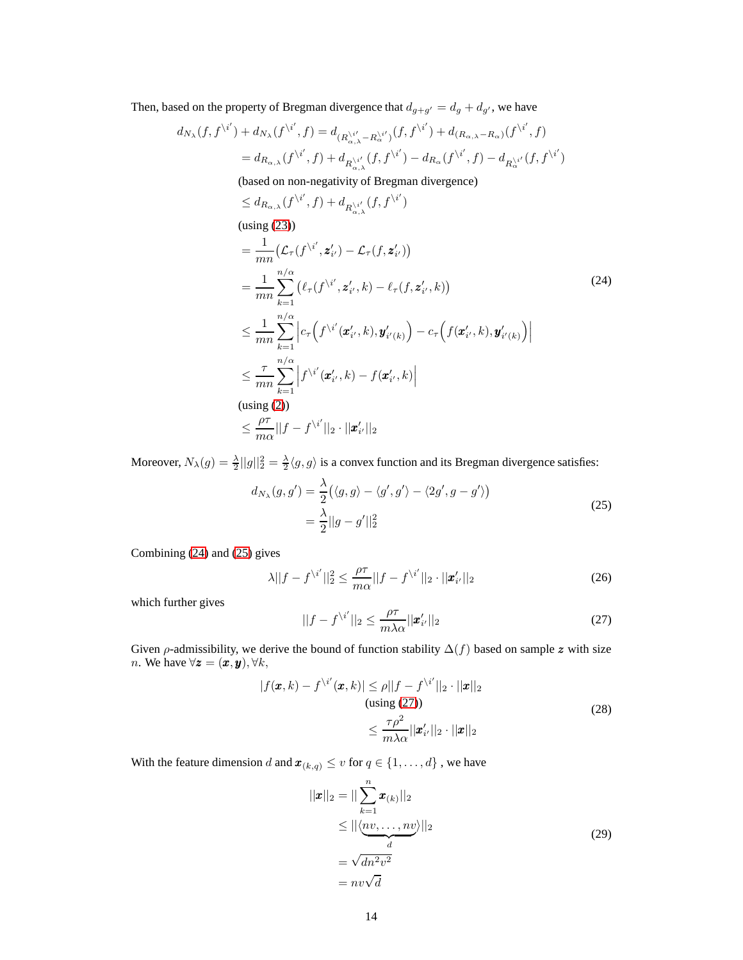Then, based on the property of Bregman divergence that  $d_{g+g'} = d_g + d_{g'}$ , we have

$$
d_{N_{\lambda}}(f, f^{\backslash i'}) + d_{N_{\lambda}}(f^{\backslash i'}, f) = d_{(R_{\alpha,\lambda}^{\backslash i'} - R_{\alpha}^{\backslash i'})}(f, f^{\backslash i'}) + d_{(R_{\alpha,\lambda} - R_{\alpha})}(f^{\backslash i'}, f)
$$
  
= 
$$
d_{R_{\alpha,\lambda}}(f^{\backslash i'}, f) + d_{R_{\alpha,\lambda}^{\backslash i'}}(f, f^{\backslash i'}) - d_{R_{\alpha}}(f^{\backslash i'}, f) - d_{R_{\alpha}^{\backslash i'}}(f, f^{\backslash i'})
$$

(based on non-negativity of Bregman divergence)

<span id="page-13-0"></span>
$$
\leq d_{R_{\alpha,\lambda}}(f^{\backslash i'}, f) + d_{R_{\alpha,\lambda}^{\backslash i'}}(f, f^{\backslash i'})
$$
\n(using (23))

\n
$$
= \frac{1}{mn} \left( \mathcal{L}_{\tau}(f^{\backslash i'}, \mathbf{z}'_{i'}) - \mathcal{L}_{\tau}(f, \mathbf{z}'_{i'}) \right)
$$
\n
$$
= \frac{1}{mn} \sum_{k=1}^{n/\alpha} \left( \ell_{\tau}(f^{\backslash i'}, \mathbf{z}'_{i'}, k) - \ell_{\tau}(f, \mathbf{z}'_{i'}, k) \right)
$$
\n
$$
\leq \frac{1}{mn} \sum_{k=1}^{n/\alpha} \left| c_{\tau} \left( f^{\backslash i'}(\mathbf{z}'_{i'}, k), \mathbf{y}'_{i'(k)} \right) - c_{\tau} \left( f(\mathbf{x}'_{i'}, k), \mathbf{y}'_{i'(k)} \right) \right|
$$
\n
$$
\leq \frac{\tau}{mn} \sum_{k=1}^{n/\alpha} \left| f^{\backslash i'}(\mathbf{z}'_{i'}, k) - f(\mathbf{x}'_{i'}, k) \right|
$$
\n(using (2))

\n
$$
\leq \frac{\rho\tau}{m\alpha} ||f - f^{\backslash i'}||_2 \cdot ||\mathbf{x}'_{i'}||_2
$$

<span id="page-13-1"></span>Moreover,  $N_{\lambda}(g) = \frac{\lambda}{2} ||g||_2^2 = \frac{\lambda}{2} \langle g, g \rangle$  is a convex function and its Bregman divergence satisfies:

$$
d_{N_{\lambda}}(g, g') = \frac{\lambda}{2} (\langle g, g \rangle - \langle g', g' \rangle - \langle 2g', g - g' \rangle)
$$
  
=  $\frac{\lambda}{2} ||g - g'||_2^2$  (25)

Combining [\(24\)](#page-13-0) and [\(25\)](#page-13-1) gives

$$
\lambda ||f - f^{\setminus i'}||_2^2 \le \frac{\rho \tau}{m\alpha} ||f - f^{\setminus i'}||_2 \cdot ||\mathbf{x}'_{i'}||_2 \tag{26}
$$

which further gives

<span id="page-13-2"></span>
$$
||f - f^{\setminus i'}||_2 \le \frac{\rho \tau}{m \lambda \alpha} ||\mathbf{x}'_{i'}||_2
$$
\n(27)

Given  $\rho$ -admissibility, we derive the bound of function stability  $\Delta(f)$  based on sample z with size *n*. We have  $\forall z = (\boldsymbol{x}, \boldsymbol{y}), \forall k$ ,

$$
|f(\boldsymbol{x},k) - f^{\backslash i'}(\boldsymbol{x},k)| \le \rho ||f - f^{\backslash i'}||_2 \cdot ||\boldsymbol{x}||_2
$$
  
(using (27))  

$$
\le \frac{\tau \rho^2}{m\lambda \alpha} ||\boldsymbol{x}'_{i'}||_2 \cdot ||\boldsymbol{x}||_2
$$
 (28)

<span id="page-13-3"></span>With the feature dimension  $d$  and  $\pmb{x}_{(k,q)} \leq v$  for  $q \in \{1,\ldots,d\}$  , we have

$$
||\mathbf{x}||_2 = ||\sum_{k=1}^{n} \mathbf{x}_{(k)}||_2
$$
  
\n
$$
\leq ||\langle \underbrace{nv, \dots, nv}_{d} \rangle||_2
$$
  
\n
$$
= \sqrt{dn^2 v^2}
$$
  
\n
$$
= nv\sqrt{d}
$$
\n(29)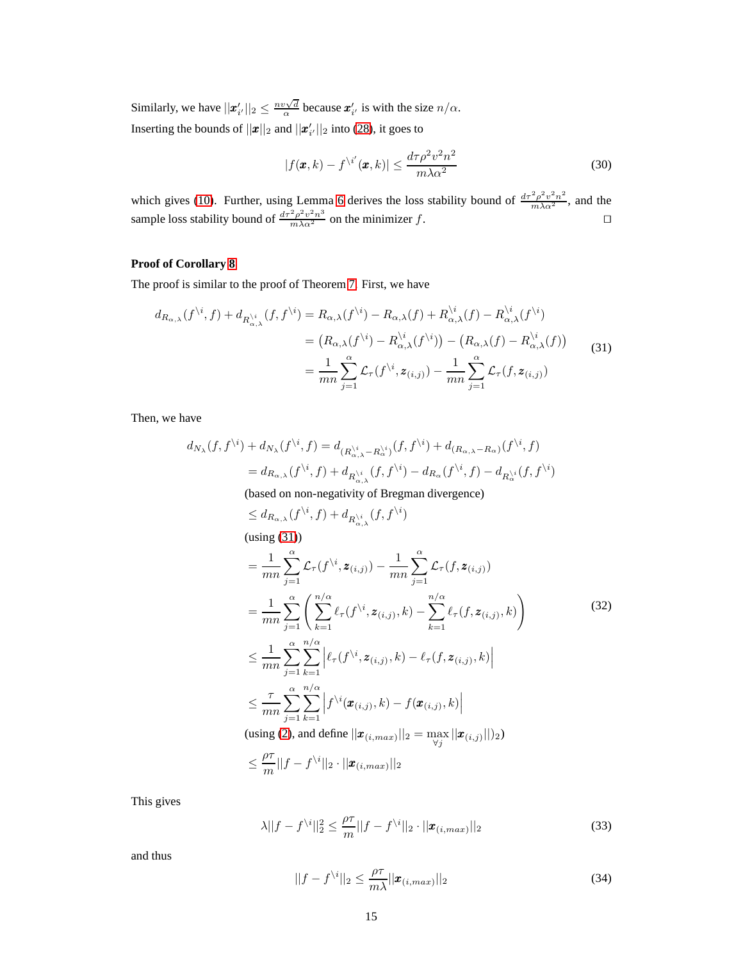Similarly, we have  $||\mathbf{z}'_{i'}||_2 \leq \frac{n v \sqrt{d}}{\alpha}$  because  $\mathbf{z}'_{i'}$  is with the size  $n/\alpha$ . Inserting the bounds of  $||\boldsymbol{x}||_2$  and  $||\boldsymbol{x}'_{i'}||_2$  into [\(28\)](#page-13-3), it goes to

$$
|f(\pmb{x},k) - f^{\backslash i'}(\pmb{x},k)| \le \frac{d\tau \rho^2 v^2 n^2}{m\lambda \alpha^2} \tag{30}
$$

which gives [\(10\)](#page-6-1). Further, using Lemma [6](#page-5-2) derives the loss stability bound of  $\frac{d\tau^2 \rho^2 v^2 n^2}{m\lambda \alpha^2}$ , and the sample loss stability bound of  $\frac{d\tau^2 \rho^2 v^2 n^3}{m\lambda \alpha^2}$  on the minimizer f.

# **Proof of Corollary [8](#page-6-2)**

The proof is similar to the proof of Theorem [7.](#page-5-3) First, we have

<span id="page-14-0"></span>
$$
d_{R_{\alpha,\lambda}}(f^{\backslash i},f) + d_{R_{\alpha,\lambda}^{i}}(f,f^{\backslash i}) = R_{\alpha,\lambda}(f^{i}) - R_{\alpha,\lambda}(f) + R_{\alpha,\lambda}^{i}(f) - R_{\alpha,\lambda}^{i}(f^{i})
$$
  
\n
$$
= (R_{\alpha,\lambda}(f^{i}) - R_{\alpha,\lambda}^{i}(f^{i})) - (R_{\alpha,\lambda}(f) - R_{\alpha,\lambda}^{i}(f))
$$
  
\n
$$
= \frac{1}{mn} \sum_{j=1}^{\alpha} \mathcal{L}_{\tau}(f^{i}, z_{(i,j)}) - \frac{1}{mn} \sum_{j=1}^{\alpha} \mathcal{L}_{\tau}(f, z_{(i,j)})
$$
 (31)

Then, we have

$$
d_{N_{\lambda}}(f, f^{\backslash i}) + d_{N_{\lambda}}(f^{\backslash i}, f) = d_{(R_{\alpha,\lambda}^{i} - R_{\alpha}^{i})}(f, f^{\backslash i}) + d_{(R_{\alpha,\lambda} - R_{\alpha})}(f^{\backslash i}, f)
$$
  
=  $d_{R_{\alpha,\lambda}}(f^{\backslash i}, f) + d_{R_{\alpha,\lambda}^{i}}(f, f^{\backslash i}) - d_{R_{\alpha}}(f^{\backslash i}, f) - d_{R_{\alpha}^{i}}(f, f^{\backslash i})$   
(based on non-negativity of Bregman divergence)

$$
\leq d_{R_{\alpha,\lambda}}(f^{\backslash i},f) + d_{R_{\alpha,\lambda}^{\backslash i}}(f,f^{\backslash i})
$$
\n(using (31))

\n
$$
= \frac{1}{mn} \sum_{j=1}^{\alpha} \mathcal{L}_{\tau}(f^{\backslash i}, \mathbf{z}_{(i,j)}) - \frac{1}{mn} \sum_{j=1}^{\alpha} \mathcal{L}_{\tau}(f, \mathbf{z}_{(i,j)})
$$
\n
$$
= \frac{1}{mn} \sum_{j=1}^{\alpha} \left( \sum_{k=1}^{n/\alpha} \ell_{\tau}(f^{\backslash i}, \mathbf{z}_{(i,j)}, k) - \sum_{k=1}^{n/\alpha} \ell_{\tau}(f, \mathbf{z}_{(i,j)}, k) \right)
$$
\n
$$
\leq \frac{1}{mn} \sum_{j=1}^{\alpha} \sum_{k=1}^{n/\alpha} \left| \ell_{\tau}(f^{\backslash i}, \mathbf{z}_{(i,j)}, k) - \ell_{\tau}(f, \mathbf{z}_{(i,j)}, k) \right|
$$
\n
$$
\leq \frac{\tau}{mn} \sum_{j=1}^{\alpha} \sum_{k=1}^{n/\alpha} \left| f^{\backslash i}(\mathbf{x}_{(i,j)}, k) - f(\mathbf{x}_{(i,j)}, k) \right|
$$
\n(using (2), and define  $||\mathbf{x}_{(i, max)}||_2 = \max_{\forall j} ||\mathbf{x}_{(i,j)}||_2$ )

\n
$$
\leq \frac{\rho\tau}{m} ||f - f^{\backslash i}||_2 \cdot ||\mathbf{x}_{(i, max)}||_2
$$

This gives

$$
\lambda ||f - f^{\setminus i}||_2^2 \le \frac{\rho \tau}{m} ||f - f^{\setminus i}||_2 \cdot ||\boldsymbol{x}_{(i, max)}||_2 \tag{33}
$$

and thus

<span id="page-14-1"></span>
$$
||f - f^{\setminus i}||_2 \le \frac{\rho \tau}{m\lambda} ||\boldsymbol{x}_{(i, max)}||_2
$$
\n(34)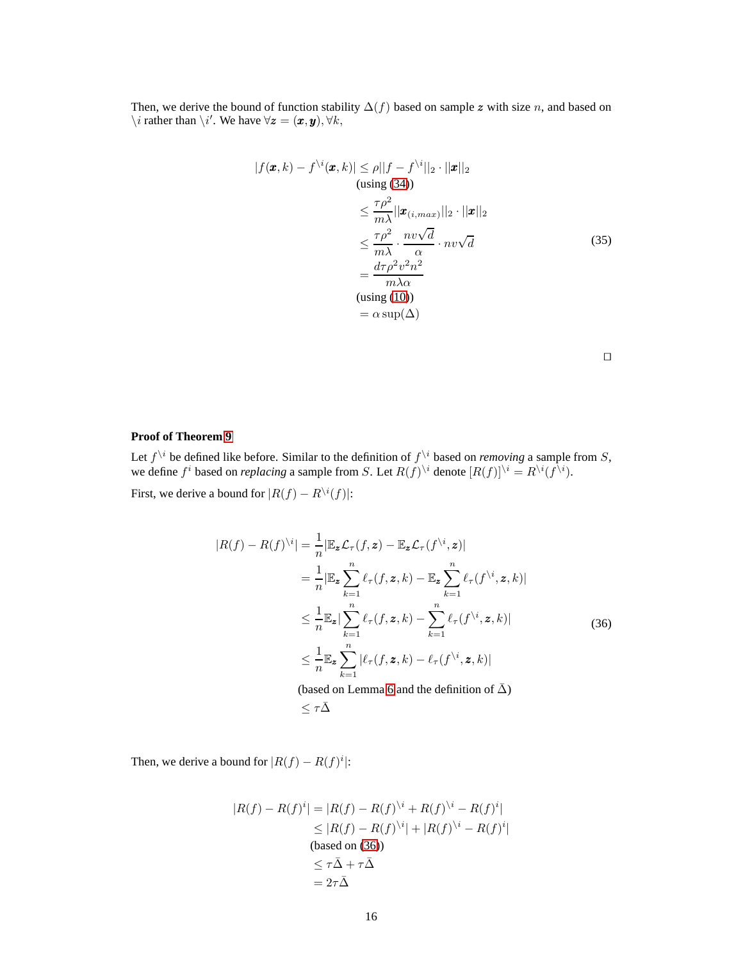Then, we derive the bound of function stability  $\Delta(f)$  based on sample z with size n, and based on  $\setminus i$  rather than  $\setminus i'$ . We have  $\forall z = (x, y), \forall k$ ,

$$
|f(\mathbf{x}, k) - f^{\setminus i}(\mathbf{x}, k)| \le \rho ||f - f^{\setminus i}||_2 \cdot ||\mathbf{x}||_2
$$
  
\n(susing (34))  
\n
$$
\le \frac{\tau \rho^2}{m\lambda} ||\mathbf{x}_{(i, max)}||_2 \cdot ||\mathbf{x}||_2
$$
  
\n
$$
\le \frac{\tau \rho^2}{m\lambda} \cdot \frac{nv\sqrt{d}}{\alpha} \cdot nv\sqrt{d}
$$
  
\n
$$
= \frac{d\tau \rho^2 v^2 n^2}{m\lambda \alpha}
$$
  
\n(sing (10))  
\n
$$
= \alpha \sup(\Delta)
$$

⊓⊔

# **Proof of Theorem [9](#page-6-3)**

Let  $f^{\setminus i}$  be defined like before. Similar to the definition of  $f^{\setminus i}$  based on *removing* a sample from S, we define  $f^i$  based on *replacing* a sample from S. Let  $R(f)^{\setminus i}$  denote  $[R(f)]^{\setminus i} = R^{\setminus i}(f^{\setminus i})$ .

First, we derive a bound for  $|R(f) - R^{\setminus i}(f)|$ :

<span id="page-15-0"></span>
$$
|R(f) - R(f)^{\backslash i}| = \frac{1}{n} |\mathbb{E}_{\mathbf{z}} \mathcal{L}_{\tau}(f, \mathbf{z}) - \mathbb{E}_{\mathbf{z}} \mathcal{L}_{\tau}(f^{\backslash i}, \mathbf{z})|
$$
  
\n
$$
= \frac{1}{n} |\mathbb{E}_{\mathbf{z}} \sum_{k=1}^{n} \ell_{\tau}(f, \mathbf{z}, k) - \mathbb{E}_{\mathbf{z}} \sum_{k=1}^{n} \ell_{\tau}(f^{\backslash i}, \mathbf{z}, k)|
$$
  
\n
$$
\leq \frac{1}{n} \mathbb{E}_{\mathbf{z}} |\sum_{k=1}^{n} \ell_{\tau}(f, \mathbf{z}, k) - \sum_{k=1}^{n} \ell_{\tau}(f^{\backslash i}, \mathbf{z}, k)|
$$
  
\n
$$
\leq \frac{1}{n} \mathbb{E}_{\mathbf{z}} \sum_{k=1}^{n} |\ell_{\tau}(f, \mathbf{z}, k) - \ell_{\tau}(f^{\backslash i}, \mathbf{z}, k)|
$$
  
\n(based on Lemma 6 and the definition of  $\bar{\Delta}$ )  
\n
$$
\leq \tau \bar{\Delta}
$$

Then, we derive a bound for  $|R(f) - R(f)^i|$ :

$$
|R(f) - R(f)^{i}| = |R(f) - R(f)^{i} + R(f)^{i} - R(f)^{i}|
$$
  
\n
$$
\leq |R(f) - R(f)^{i}| + |R(f)^{i} - R(f)^{i}|
$$
  
\n(based on (36))  
\n
$$
\leq \tau \bar{\Delta} + \tau \bar{\Delta}
$$
  
\n
$$
= 2\tau \bar{\Delta}
$$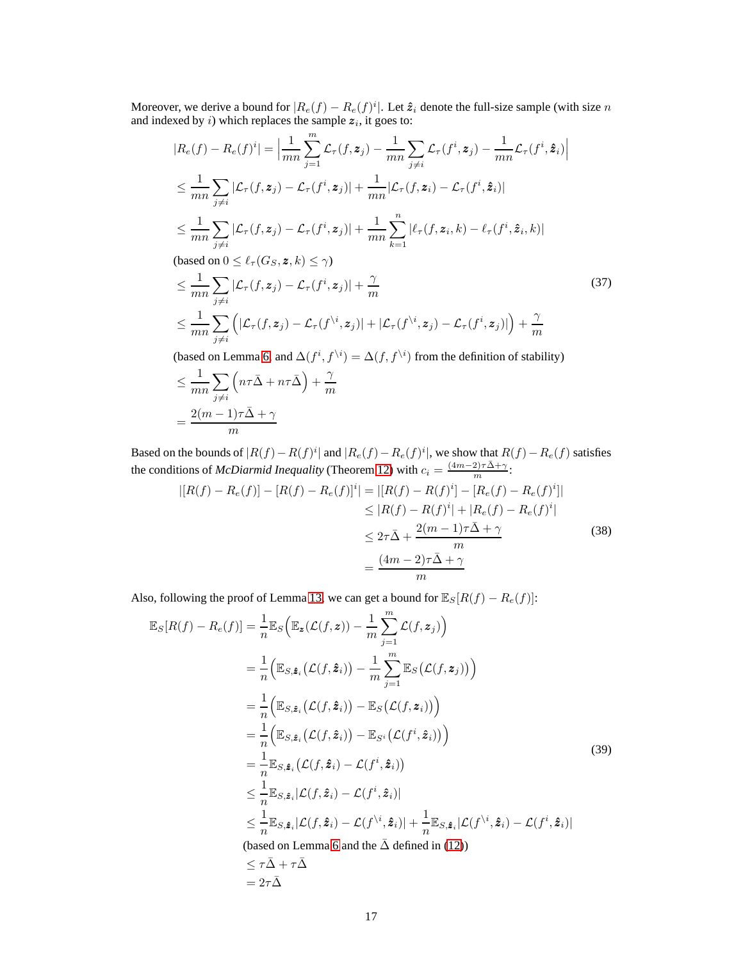Moreover, we derive a bound for  $|R_e(f) - R_e(f)^i|$ . Let  $\hat{z}_i$  denote the full-size sample (with size n and indexed by i) which replaces the sample  $z_i$ , it goes to:

$$
|R_e(f) - R_e(f)^i| = \left| \frac{1}{mn} \sum_{j=1}^m \mathcal{L}_{\tau}(f, \mathbf{z}_j) - \frac{1}{mn} \sum_{j \neq i} \mathcal{L}_{\tau}(f^i, \mathbf{z}_j) - \frac{1}{mn} \mathcal{L}_{\tau}(f^i, \hat{\mathbf{z}}_i) \right|
$$
  
\n
$$
\leq \frac{1}{mn} \sum_{j \neq i} |\mathcal{L}_{\tau}(f, \mathbf{z}_j) - \mathcal{L}_{\tau}(f^i, \mathbf{z}_j)| + \frac{1}{mn} |\mathcal{L}_{\tau}(f, \mathbf{z}_i) - \mathcal{L}_{\tau}(f^i, \hat{\mathbf{z}}_i)|
$$
  
\n
$$
\leq \frac{1}{mn} \sum_{j \neq i} |\mathcal{L}_{\tau}(f, \mathbf{z}_j) - \mathcal{L}_{\tau}(f^i, \mathbf{z}_j)| + \frac{1}{mn} \sum_{k=1}^n |\ell_{\tau}(f, \mathbf{z}_i, k) - \ell_{\tau}(f^i, \hat{\mathbf{z}}_i, k)|
$$
  
\n**(based on  $0 \leq \ell_{\tau}(G_S, \mathbf{z}, k) \leq \gamma$ )**

 $\tau(G_S, \mathbf{z}, \mathcal{K}) \leq \gamma$ 

$$
\leq \frac{1}{mn} \sum_{j \neq i} |\mathcal{L}_{\tau}(f, z_j) - \mathcal{L}_{\tau}(f^i, z_j)| + \frac{\gamma}{m}
$$
\n
$$
\leq \frac{1}{mn} \sum_{j \neq i} (|\mathcal{L}_{\tau}(f, z_j) - \mathcal{L}_{\tau}(f^{\backslash i}, z_j)| + |\mathcal{L}_{\tau}(f^{\backslash i}, z_j) - \mathcal{L}_{\tau}(f^i, z_j)|) + \frac{\gamma}{m}
$$
\n(37)

(based on Lemma [6,](#page-5-2) and  $\Delta(f^i, f^{\setminus i}) = \Delta(f, f^{\setminus i})$  from the definition of stability)

$$
\leq \frac{1}{mn} \sum_{j \neq i} \left( n\tau \bar{\Delta} + n\tau \bar{\Delta} \right) + \frac{\gamma}{m}
$$

$$
= \frac{2(m-1)\tau \bar{\Delta} + \gamma}{m}
$$

Based on the bounds of  $|R(f) - R(f)^i|$  and  $|R_e(f) - R_e(f)^i|$ , we show that  $R(f) - R_e(f)$  satisfies the conditions of *McDiarmid Inequality* (Theorem [12\)](#page-11-3) with  $c_i = \frac{(4m-2)\tau\bar{\Delta}+\gamma}{m}$ :

<span id="page-16-0"></span>
$$
|[R(f) - R_e(f)] - [R(f) - R_e(f)]^i| = |[R(f) - R(f)^i] - [R_e(f) - R_e(f)^i]|
$$
  
\n
$$
\leq |R(f) - R(f)^i| + |R_e(f) - R_e(f)^i|
$$
  
\n
$$
\leq 2\tau\bar{\Delta} + \frac{2(m-1)\tau\bar{\Delta} + \gamma}{m}
$$
  
\n
$$
= \frac{(4m-2)\tau\bar{\Delta} + \gamma}{m}
$$
 (38)

Also, following the proof of Lemma [13,](#page-11-4) we can get a bound for  $\mathbb{E}_{S}[R(f) - R_{e}(f)]$ :

<span id="page-16-1"></span>
$$
\mathbb{E}_{S}[R(f) - R_{e}(f)] = \frac{1}{n} \mathbb{E}_{S} \Big( \mathbb{E}_{\mathbf{z}} (\mathcal{L}(f, \mathbf{z})) - \frac{1}{m} \sum_{j=1}^{m} \mathcal{L}(f, \mathbf{z}_{j}) \Big)
$$
  
\n
$$
= \frac{1}{n} \Big( \mathbb{E}_{S, \hat{\mathbf{z}}_{i}} (\mathcal{L}(f, \hat{\mathbf{z}}_{i})) - \frac{1}{m} \sum_{j=1}^{m} \mathbb{E}_{S} (\mathcal{L}(f, \mathbf{z}_{j})) \Big)
$$
  
\n
$$
= \frac{1}{n} \Big( \mathbb{E}_{S, \hat{\mathbf{z}}_{i}} (\mathcal{L}(f, \hat{\mathbf{z}}_{i})) - \mathbb{E}_{S} (\mathcal{L}(f, \mathbf{z}_{i})) \Big)
$$
  
\n
$$
= \frac{1}{n} \Big( \mathbb{E}_{S, \hat{\mathbf{z}}_{i}} (\mathcal{L}(f, \hat{\mathbf{z}}_{i})) - \mathbb{E}_{S^{i}} (\mathcal{L}(f^{i}, \hat{\mathbf{z}}_{i})) \Big)
$$
  
\n
$$
= \frac{1}{n} \mathbb{E}_{S, \hat{\mathbf{z}}_{i}} (\mathcal{L}(f, \hat{\mathbf{z}}_{i}) - \mathcal{L}(f^{i}, \hat{\mathbf{z}}_{i}))
$$
  
\n
$$
\leq \frac{1}{n} \mathbb{E}_{S, \hat{\mathbf{z}}_{i}} |\mathcal{L}(f, \hat{\mathbf{z}}_{i}) - \mathcal{L}(f^{i}, \hat{\mathbf{z}}_{i})|
$$
  
\n
$$
\leq \frac{1}{n} \mathbb{E}_{S, \hat{\mathbf{z}}_{i}} |\mathcal{L}(f, \hat{\mathbf{z}}_{i}) - \mathcal{L}(f^{i}, \hat{\mathbf{z}}_{i})| + \frac{1}{n} \mathbb{E}_{S, \hat{\mathbf{z}}_{i}} |\mathcal{L}(f^{i}, \hat{\mathbf{z}}_{i}) - \mathcal{L}(f^{i}, \hat{\mathbf{z}}_{i})|
$$
  
\n(based on Lemma 6 and the  $\bar{\Delta}$  defined in (12))  
\n
$$
\leq \tau \bar{\Delta} + \tau \bar{\Delta}
$$
<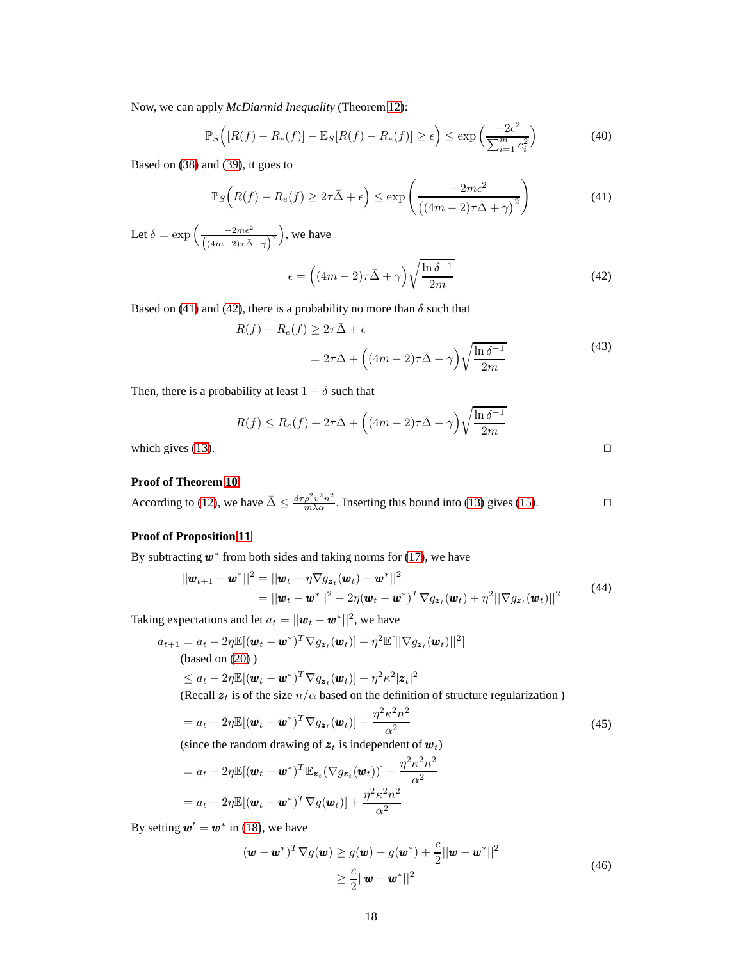Now, we can apply *McDiarmid Inequality* (Theorem [12\)](#page-11-3):

$$
\mathbb{P}_S\Big(\big[R(f) - R_e(f)\big] - \mathbb{E}_S\big[R(f) - R_e(f)\big] \ge \epsilon\Big) \le \exp\Big(\frac{-2\epsilon^2}{\sum_{i=1}^m c_i^2}\Big) \tag{40}
$$

Based on [\(38\)](#page-16-0) and [\(39\)](#page-16-1), it goes to

<span id="page-17-0"></span>
$$
\mathbb{P}_S\left(R(f) - R_e(f) \ge 2\tau\bar{\Delta} + \epsilon\right) \le \exp\left(\frac{-2m\epsilon^2}{\left((4m-2)\tau\bar{\Delta} + \gamma\right)^2}\right) \tag{41}
$$

Let  $\delta = \exp \left( \frac{-2m\epsilon^2}{\epsilon} \right)$  $((4m-2)\tau\bar{\Delta}+\gamma)^2$ , we have

<span id="page-17-1"></span>
$$
\epsilon = \left( (4m - 2)\tau \bar{\Delta} + \gamma \right) \sqrt{\frac{\ln \delta^{-1}}{2m}} \tag{42}
$$

Based on [\(41\)](#page-17-0) and [\(42\)](#page-17-1), there is a probability no more than  $\delta$  such that

$$
R(f) - R_e(f) \ge 2\tau \bar{\Delta} + \epsilon
$$
  
=  $2\tau \bar{\Delta} + ((4m - 2)\tau \bar{\Delta} + \gamma)\sqrt{\frac{\ln \delta^{-1}}{2m}}$  (43)

Then, there is a probability at least  $1 - \delta$  such that

$$
R(f) \le R_e(f) + 2\tau \bar{\Delta} + \left( (4m - 2)\tau \bar{\Delta} + \gamma \right) \sqrt{\frac{\ln \delta^{-1}}{2m}}
$$
  
which gives (13).

### **Proof of Theorem [10](#page-7-2)**

According to [\(12\)](#page-6-4), we have  $\bar{\Delta} \leq \frac{d\tau \rho^2 v^2 n^2}{m\lambda \alpha}$ . Inserting this bound into [\(13\)](#page-6-5) gives [\(15\)](#page-7-0).

# **Proof of Proposition [11](#page-8-3)**

By subtracting  $w^*$  from both sides and taking norms for [\(17\)](#page-7-4), we have

$$
||\mathbf{w}_{t+1} - \mathbf{w}^*||^2 = ||\mathbf{w}_t - \eta \nabla g_{\mathbf{z}_t}(\mathbf{w}_t) - \mathbf{w}^*||^2
$$
  
=  $||\mathbf{w}_t - \mathbf{w}^*||^2 - 2\eta(\mathbf{w}_t - \mathbf{w}^*)^T \nabla g_{\mathbf{z}_t}(\mathbf{w}_t) + \eta^2 ||\nabla g_{\mathbf{z}_t}(\mathbf{w}_t)||^2$  (44)

Taking expectations and let  $a_t = ||\boldsymbol{w}_t - \boldsymbol{w}^*||^2$ , we have

$$
a_{t+1} = a_t - 2\eta \mathbb{E}[(\boldsymbol{w}_t - \boldsymbol{w}^*)^T \nabla g_{\boldsymbol{z}_t}(\boldsymbol{w}_t)] + \eta^2 \mathbb{E}[||\nabla g_{\boldsymbol{z}_t}(\boldsymbol{w}_t)||^2]
$$
\n(based on (20))

\n
$$
\leq a_t - 2\eta \mathbb{E}[(\boldsymbol{w}_t - \boldsymbol{w}^*)^T \nabla g_{\boldsymbol{z}_t}(\boldsymbol{w}_t)] + \eta^2 \kappa^2 |\boldsymbol{z}_t|^2
$$
\n(Recall  $\boldsymbol{z}_t$  is of the size  $n/\alpha$  based on the definition of structure regularization)

$$
= a_t - 2\eta \mathbb{E}[(\boldsymbol{w}_t - \boldsymbol{w}^*)^T \nabla g_{\boldsymbol{z}_t}(\boldsymbol{w}_t)] + \frac{\eta^2 \kappa^2 n^2}{\alpha^2}
$$
\n(45)

<span id="page-17-2"></span>(since the random drawing of  $z_t$  is independent of  $w_t$ )

$$
= a_t - 2\eta \mathbb{E}[(\boldsymbol{w}_t - \boldsymbol{w}^*)^T \mathbb{E}_{\mathbf{z}_t}(\nabla g_{\mathbf{z}_t}(\boldsymbol{w}_t))] + \frac{\eta^2 \kappa^2 n^2}{\alpha^2}
$$

$$
= a_t - 2\eta \mathbb{E}[(\boldsymbol{w}_t - \boldsymbol{w}^*)^T \nabla g(\boldsymbol{w}_t)] + \frac{\eta^2 \kappa^2 n^2}{\alpha^2}
$$

<span id="page-17-3"></span>By setting  $w' = w^*$  in [\(18\)](#page-7-5), we have

$$
(\boldsymbol{w} - \boldsymbol{w}^*)^T \nabla g(\boldsymbol{w}) \ge g(\boldsymbol{w}) - g(\boldsymbol{w}^*) + \frac{c}{2} ||\boldsymbol{w} - \boldsymbol{w}^*||^2
$$
  
\n
$$
\ge \frac{c}{2} ||\boldsymbol{w} - \boldsymbol{w}^*||^2
$$
\n(46)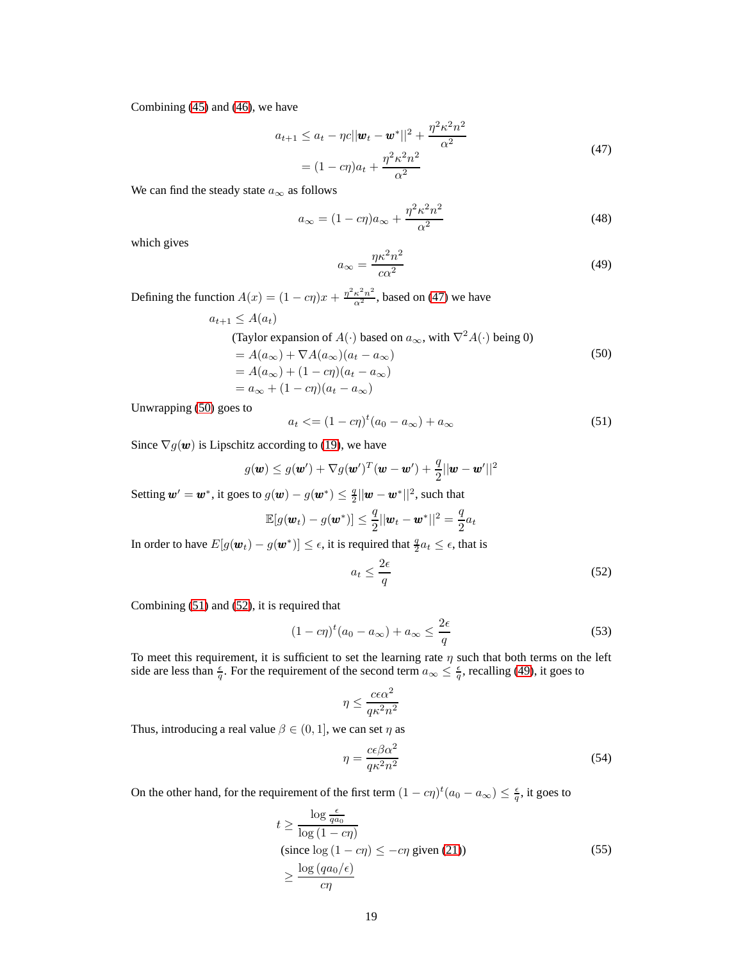Combining [\(45\)](#page-17-2) and [\(46\)](#page-17-3), we have

$$
a_{t+1} \le a_t - \eta c ||\boldsymbol{w}_t - \boldsymbol{w}^*||^2 + \frac{\eta^2 \kappa^2 n^2}{\alpha^2}
$$
  
=  $(1 - c\eta)a_t + \frac{\eta^2 \kappa^2 n^2}{\alpha^2}$  (47)

<span id="page-18-0"></span>We can find the steady state  $a_{\infty}$  as follows

$$
a_{\infty} = (1 - c\eta)a_{\infty} + \frac{\eta^2 \kappa^2 n^2}{\alpha^2} \tag{48}
$$

which gives

<span id="page-18-4"></span>
$$
a_{\infty} = \frac{\eta \kappa^2 n^2}{c \alpha^2} \tag{49}
$$

Defining the function  $A(x) = (1 - c\eta)x + \frac{\eta^2 \kappa^2 n^2}{\alpha^2}$ , based on [\(47\)](#page-18-0) we have

$$
a_{t+1} \le A(a_t)
$$
  
\n(Taylor expansion of  $A(\cdot)$  based on  $a_{\infty}$ , with  $\nabla^2 A(\cdot)$  being 0)  
\n
$$
= A(a_{\infty}) + \nabla A(a_{\infty})(a_t - a_{\infty})
$$
\n
$$
= A(a_{\infty}) + (1 - c\eta)(a_t - a_{\infty})
$$
\n
$$
= a_{\infty} + (1 - c\eta)(a_t - a_{\infty})
$$
\n(50)

<span id="page-18-1"></span>Unwrapping [\(50\)](#page-18-1) goes to

<span id="page-18-2"></span>
$$
a_t \leq (1 - c\eta)^t (a_0 - a_{\infty}) + a_{\infty} \tag{51}
$$

Since  $\nabla g(\boldsymbol{w})$  is Lipschitz according to [\(19\)](#page-8-5), we have

$$
g(\boldsymbol{w}) \leq g(\boldsymbol{w}') + \nabla g(\boldsymbol{w}')^T(\boldsymbol{w} - \boldsymbol{w}') + \frac{q}{2}||\boldsymbol{w} - \boldsymbol{w}'||^2
$$

Setting  $\pmb{w}' = \pmb{w}^*$ , it goes to  $g(\pmb{w}) - g(\pmb{w}^*) \leq \frac{q}{2}||\pmb{w} - \pmb{w}^*||^2$ , such that

$$
\mathbb{E}[g(\boldsymbol{w}_t) - g(\boldsymbol{w}^*)] \leq \frac{q}{2} ||\boldsymbol{w}_t - \boldsymbol{w}^*||^2 = \frac{q}{2} a_t
$$

In order to have  $E[g(\boldsymbol{w}_t) - g(\boldsymbol{w}^*)] \leq \epsilon$ , it is required that  $\frac{q}{2}a_t \leq \epsilon$ , that is

<span id="page-18-3"></span>
$$
a_t \le \frac{2\epsilon}{q} \tag{52}
$$

Combining [\(51\)](#page-18-2) and [\(52\)](#page-18-3), it is required that

$$
(1 - c\eta)^t (a_0 - a_\infty) + a_\infty \le \frac{2\epsilon}{q}
$$
\n(53)

To meet this requirement, it is sufficient to set the learning rate  $\eta$  such that both terms on the left side are less than  $\frac{\epsilon}{q}$ . For the requirement of the second term  $a_{\infty} \leq \frac{\epsilon}{q}$ , recalling [\(49\)](#page-18-4), it goes to

$$
\eta \leq \frac{c \epsilon \alpha^2}{q \kappa^2 n^2}
$$

Thus, introducing a real value  $\beta \in (0, 1]$ , we can set  $\eta$  as

<span id="page-18-5"></span>
$$
\eta = \frac{c\epsilon\beta\alpha^2}{q\kappa^2 n^2} \tag{54}
$$

<span id="page-18-6"></span>On the other hand, for the requirement of the first term  $(1 - c\eta)^t (a_0 - a_\infty) \le \frac{\epsilon}{q}$ , it goes to

$$
t \ge \frac{\log \frac{\epsilon}{q a_0}}{\log (1 - c\eta)}
$$
  
(since  $\log (1 - c\eta) \le -c\eta$  given (21))  

$$
\ge \frac{\log (qa_0/\epsilon)}{c\eta}
$$
 (55)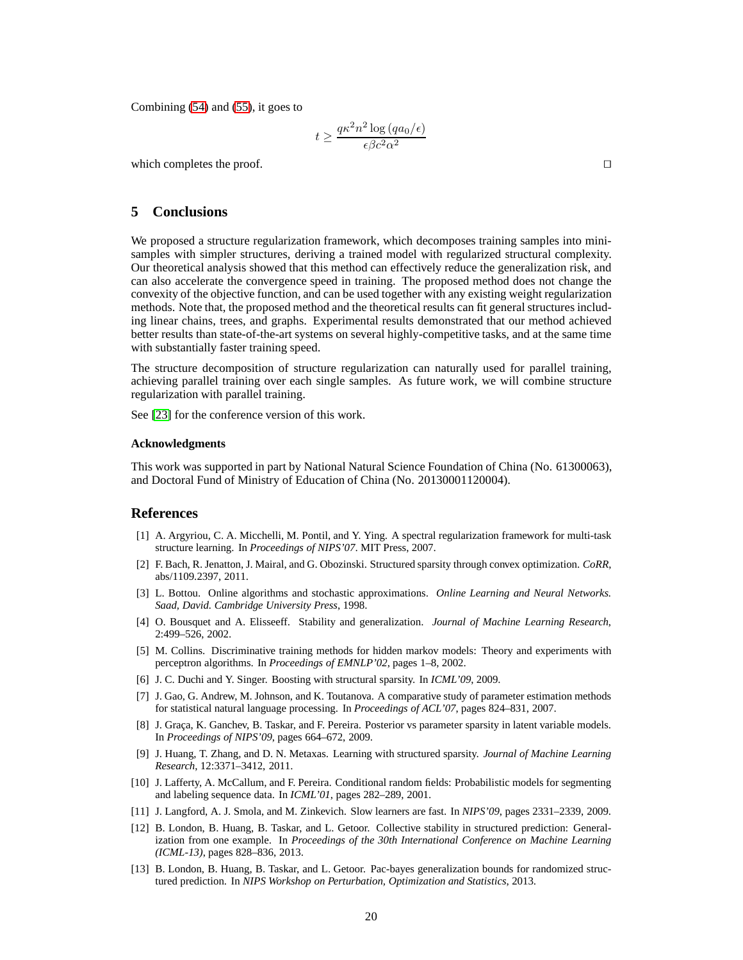Combining [\(54\)](#page-18-5) and [\(55\)](#page-18-6), it goes to

$$
t \ge \frac{q\kappa^2 n^2 \log\left(q a_0/\epsilon\right)}{\epsilon \beta c^2 \alpha^2}
$$

which completes the proof. □

## **5 Conclusions**

We proposed a structure regularization framework, which decomposes training samples into minisamples with simpler structures, deriving a trained model with regularized structural complexity. Our theoretical analysis showed that this method can effectively reduce the generalization risk, and can also accelerate the convergence speed in training. The proposed method does not change the convexity of the objective function, and can be used together with any existing weight regularization methods. Note that, the proposed method and the theoretical results can fit general structures including linear chains, trees, and graphs. Experimental results demonstrated that our method achieved better results than state-of-the-art systems on several highly-competitive tasks, and at the same time with substantially faster training speed.

The structure decomposition of structure regularization can naturally used for parallel training, achieving parallel training over each single samples. As future work, we will combine structure regularization with parallel training.

See [\[23\]](#page-20-18) for the conference version of this work.

#### **Acknowledgments**

This work was supported in part by National Natural Science Foundation of China (No. 61300063), and Doctoral Fund of Ministry of Education of China (No. 20130001120004).

#### <span id="page-19-2"></span>**References**

- [1] A. Argyriou, C. A. Micchelli, M. Pontil, and Y. Ying. A spectral regularization framework for multi-task structure learning. In *Proceedings of NIPS'07*. MIT Press, 2007.
- <span id="page-19-5"></span>[2] F. Bach, R. Jenatton, J. Mairal, and G. Obozinski. Structured sparsity through convex optimization. *CoRR*, abs/1109.2397, 2011.
- <span id="page-19-10"></span>[3] L. Bottou. Online algorithms and stochastic approximations. *Online Learning and Neural Networks. Saad, David. Cambridge University Press*, 1998.
- <span id="page-19-7"></span>[4] O. Bousquet and A. Elisseeff. Stability and generalization. *Journal of Machine Learning Research*, 2:499–526, 2002.
- <span id="page-19-1"></span>[5] M. Collins. Discriminative training methods for hidden markov models: Theory and experiments with perceptron algorithms. In *Proceedings of EMNLP'02*, pages 1–8, 2002.
- <span id="page-19-12"></span><span id="page-19-3"></span>[6] J. C. Duchi and Y. Singer. Boosting with structural sparsity. In *ICML'09*, 2009.
- [7] J. Gao, G. Andrew, M. Johnson, and K. Toutanova. A comparative study of parameter estimation methods for statistical natural language processing. In *Proceedings of ACL'07*, pages 824–831, 2007.
- <span id="page-19-4"></span>[8] J. Graça, K. Ganchev, B. Taskar, and F. Pereira. Posterior vs parameter sparsity in latent variable models. In *Proceedings of NIPS'09*, pages 664–672, 2009.
- <span id="page-19-6"></span>[9] J. Huang, T. Zhang, and D. N. Metaxas. Learning with structured sparsity. *Journal of Machine Learning Research*, 12:3371–3412, 2011.
- <span id="page-19-0"></span>[10] J. Lafferty, A. McCallum, and F. Pereira. Conditional random fields: Probabilistic models for segmenting and labeling sequence data. In *ICML'01*, pages 282–289, 2001.
- <span id="page-19-11"></span><span id="page-19-9"></span>[11] J. Langford, A. J. Smola, and M. Zinkevich. Slow learners are fast. In *NIPS'09*, pages 2331–2339, 2009.
- [12] B. London, B. Huang, B. Taskar, and L. Getoor. Collective stability in structured prediction: Generalization from one example. In *Proceedings of the 30th International Conference on Machine Learning (ICML-13)*, pages 828–836, 2013.
- <span id="page-19-8"></span>[13] B. London, B. Huang, B. Taskar, and L. Getoor. Pac-bayes generalization bounds for randomized structured prediction. In *NIPS Workshop on Perturbation, Optimization and Statistics*, 2013.